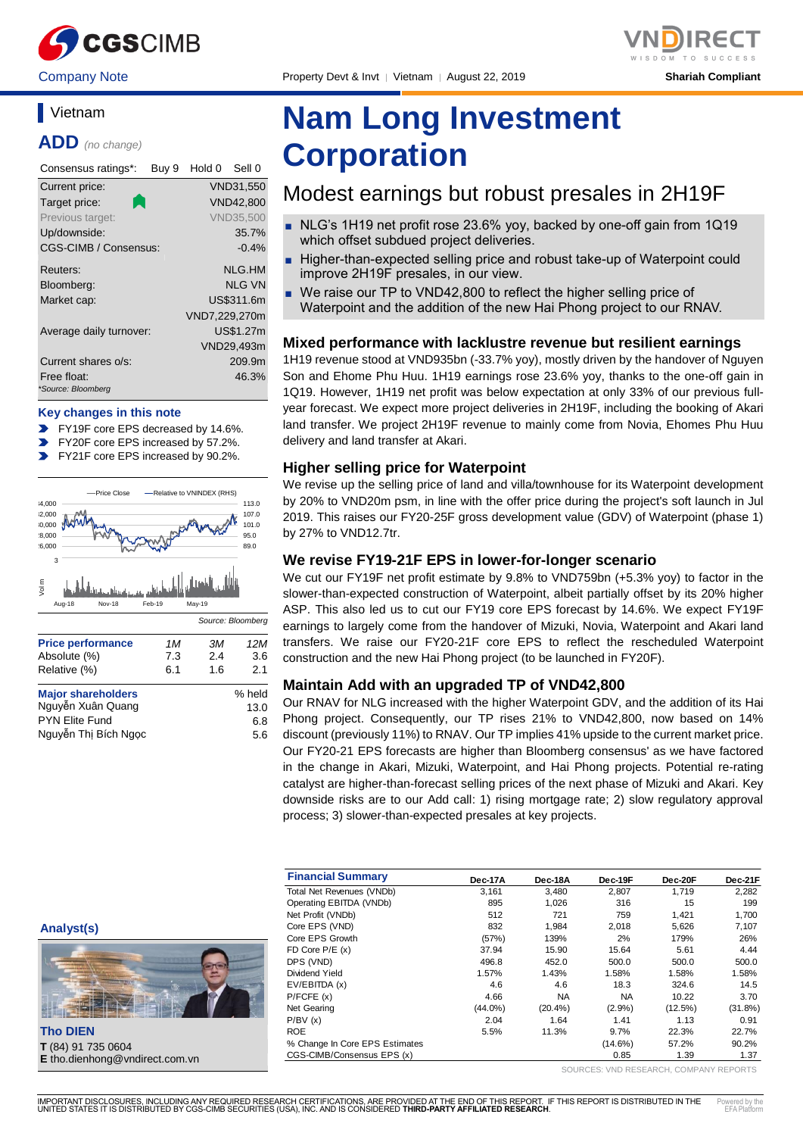

Company Note Property Devt & Invt │ Vietnam │ August 22, 2019 **Shariah Compliant**



## **Vietnam**

**ADD** *(no change)*

| Consensus ratings*:               | Buy 9 | Hold 0        | Sell 0           |
|-----------------------------------|-------|---------------|------------------|
| Current price:                    |       |               | VND31,550        |
| Target price:                     |       |               | <b>VND42,800</b> |
| Previous target:                  |       |               | <b>VND35.500</b> |
| Up/downside:                      |       |               | 35.7%            |
| CGS-CIMB / Consensus:             |       |               | $-0.4%$          |
| Reuters:                          |       |               | NLG.HM           |
| Bloomberg:                        |       |               | NI G VN          |
| Market cap:                       |       |               | US\$311.6m       |
|                                   |       | VND7,229,270m |                  |
| Average daily turnover:           |       |               | US\$1.27m        |
|                                   |       |               | VND29,493m       |
| Current shares o/s:               |       |               | 209.9m           |
| Free float:<br>*Source: Bloomberg |       |               | 46.3%            |

#### **Key changes in this note**

- FY19F core EPS decreased by 14.6%.
- FY20F core EPS increased by 57.2%.
- FY21F core EPS increased by 90.2%.  $\mathbf{v}$



| <b>Major shareholders</b> | % held |
|---------------------------|--------|
| Nguyễn Xuân Quang         | 13.0   |
| PYN Elite Fund            | 6.8    |
| Nguyễn Thị Bích Ngọc      | 5.6    |
|                           |        |

# **Nam Long Investment Corporation**

## Modest earnings but robust presales in 2H19F

- NLG's 1H19 net profit rose 23.6% yoy, backed by one-off gain from 1Q19 which offset subdued project deliveries.
- Higher-than-expected selling price and robust take-up of Waterpoint could improve 2H19F presales, in our view.
- We raise our TP to VND42,800 to reflect the higher selling price of Waterpoint and the addition of the new Hai Phong project to our RNAV.

#### **Mixed performance with lacklustre revenue but resilient earnings**

1H19 revenue stood at VND935bn (-33.7% yoy), mostly driven by the handover of Nguyen Son and Ehome Phu Huu. 1H19 earnings rose 23.6% yoy, thanks to the one-off gain in 1Q19. However, 1H19 net profit was below expectation at only 33% of our previous fullyear forecast. We expect more project deliveries in 2H19F, including the booking of Akari land transfer. We project 2H19F revenue to mainly come from Novia, Ehomes Phu Huu delivery and land transfer at Akari.

#### **Higher selling price for Waterpoint**

We revise up the selling price of land and villa/townhouse for its Waterpoint development by 20% to VND20m psm, in line with the offer price during the project's soft launch in Jul 2019. This raises our FY20-25F gross development value (GDV) of Waterpoint (phase 1) by 27% to VND12.7tr.

#### **We revise FY19-21F EPS in lower-for-longer scenario**

We cut our FY19F net profit estimate by 9.8% to VND759bn (+5.3% yoy) to factor in the slower-than-expected construction of Waterpoint, albeit partially offset by its 20% higher ASP. This also led us to cut our FY19 core EPS forecast by 14.6%. We expect FY19F earnings to largely come from the handover of Mizuki, Novia, Waterpoint and Akari land transfers. We raise our FY20-21F core EPS to reflect the rescheduled Waterpoint construction and the new Hai Phong project (to be launched in FY20F).

#### **Maintain Add with an upgraded TP of VND42,800**

Our RNAV for NLG increased with the higher Waterpoint GDV, and the addition of its Hai Phong project. Consequently, our TP rises 21% to VND42,800, now based on 14% discount (previously 11%) to RNAV. Our TP implies 41% upside to the current market price. Our FY20-21 EPS forecasts are higher than Bloomberg consensus' as we have factored in the change in Akari, Mizuki, Waterpoint, and Hai Phong projects. Potential re-rating catalyst are higher-than-forecast selling prices of the next phase of Mizuki and Akari. Key downside risks are to our Add call: 1) rising mortgage rate; 2) slow regulatory approval process; 3) slower-than-expected presales at key projects.

| <b>Financial Summary</b>       | Dec-17A    | Dec-18A    | Dec-19F    | Dec-20F | Dec-21F    |
|--------------------------------|------------|------------|------------|---------|------------|
| Total Net Revenues (VNDb)      | 3,161      | 3.480      | 2,807      | 1,719   | 2,282      |
| Operating EBITDA (VNDb)        | 895        | 1,026      | 316        | 15      | 199        |
| Net Profit (VNDb)              | 512        | 721        | 759        | 1.421   | 1,700      |
| Core EPS (VND)                 | 832        | 1.984      | 2,018      | 5,626   | 7,107      |
| Core EPS Growth                | (57%)      | 139%       | 2%         | 179%    | 26%        |
| FD Core $P/E(x)$               | 37.94      | 15.90      | 15.64      | 5.61    | 4.44       |
| DPS (VND)                      | 496.8      | 452.0      | 500.0      | 500.0   | 500.0      |
| Dividend Yield                 | 1.57%      | 1.43%      | 1.58%      | 1.58%   | 1.58%      |
| EV/EBITDA (x)                  | 4.6        | 4.6        | 18.3       | 324.6   | 14.5       |
| P/FCFE(x)                      | 4.66       | <b>NA</b>  | NA.        | 10.22   | 3.70       |
| Net Gearing                    | $(44.0\%)$ | $(20.4\%)$ | $(2.9\%)$  | (12.5%) | $(31.8\%)$ |
| P/BV(x)                        | 2.04       | 1.64       | 1.41       | 1.13    | 0.91       |
| <b>ROE</b>                     | 5.5%       | 11.3%      | 9.7%       | 22.3%   | 22.7%      |
| % Change In Core EPS Estimates |            |            | $(14.6\%)$ | 57.2%   | 90.2%      |
| CGS-CIMB/Consensus EPS (x)     |            |            | 0.85       | 1.39    | 1.37       |

**Analyst(s)**



**Tho DIEN T** (84) 91 735 0604 **E** tho.dienhong@vndirect.com.vn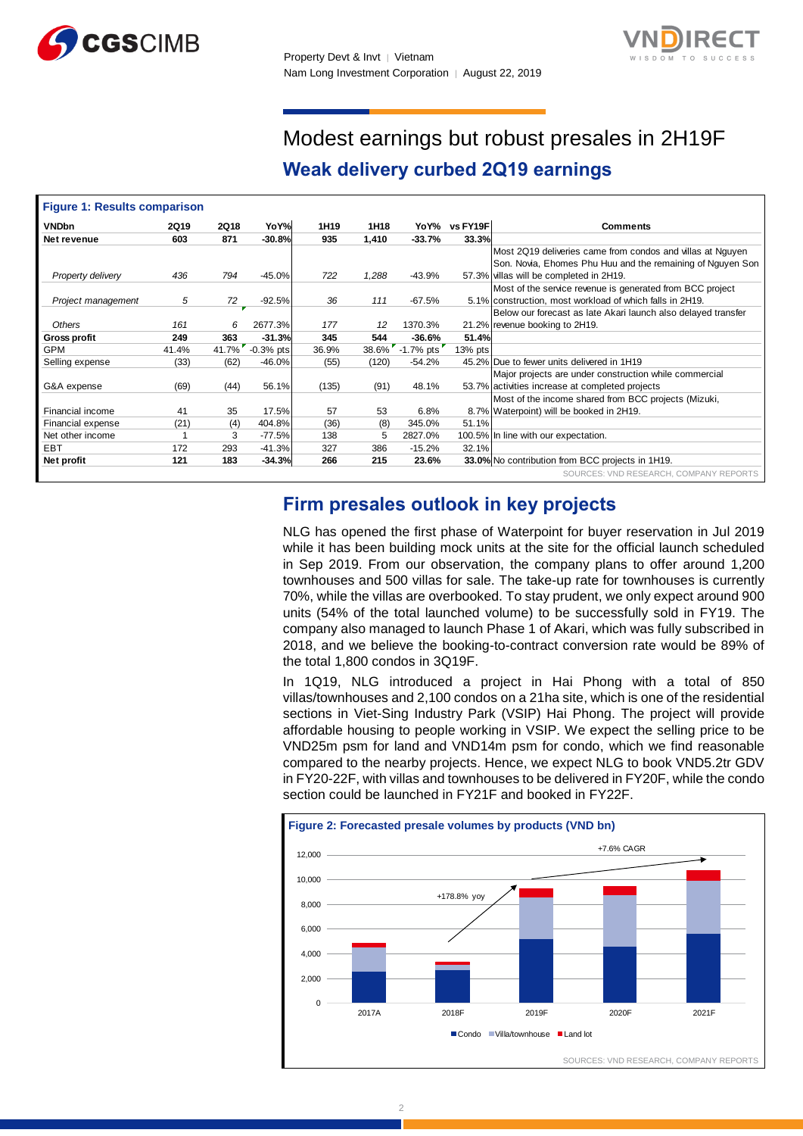



## Modest earnings but robust presales in 2H19F **Weak delivery curbed 2Q19 earnings**

| <b>Figure 1: Results comparison</b> |             |             |             |                  |       |             |          |                                                               |
|-------------------------------------|-------------|-------------|-------------|------------------|-------|-------------|----------|---------------------------------------------------------------|
| <b>VNDbn</b>                        | <b>2Q19</b> | <b>2Q18</b> | YoY%        | 1H <sub>19</sub> | 1H18  | YoY%        | vs FY19F | <b>Comments</b>                                               |
| Net revenue                         | 603         | 871         | $-30.8%$    | 935              | 1,410 | $-33.7%$    | 33.3%    |                                                               |
|                                     |             |             |             |                  |       |             |          | Most 2Q19 deliveries came from condos and villas at Nguyen    |
|                                     |             |             |             |                  |       |             |          | Son. Novia, Ehomes Phu Huu and the remaining of Nguyen Son    |
| Property delivery                   | 436         | 794         | $-45.0%$    | 722              | 1,288 | $-43.9%$    |          | 57.3% villas will be completed in 2H19.                       |
|                                     |             |             |             |                  |       |             |          | Most of the service revenue is generated from BCC project     |
| Project management                  | 5           | 72          | $-92.5%$    | 36               | 111   | $-67.5%$    |          | 5.1% construction, most workload of which falls in 2H19.      |
|                                     |             |             |             |                  |       |             |          | Below our forecast as late Akari launch also delayed transfer |
| <b>Others</b>                       | 161         | 6           | 2677.3%     | 177              | 12    | 1370.3%     |          | 21.2% revenue booking to 2H19.                                |
| <b>Gross profit</b>                 | 249         | 363         | $-31.3%$    | 345              | 544   | $-36.6%$    | 51.4%    |                                                               |
| <b>GPM</b>                          | 41.4%       | 41.7%       | $-0.3%$ pts | 36.9%            | 38.6% | $-1.7%$ pts | 13% pts  |                                                               |
| Selling expense                     | (33)        | (62)        | $-46.0%$    | (55)             | (120) | $-54.2%$    |          | 45.2% Due to fewer units delivered in 1H19                    |
|                                     |             |             |             |                  |       |             |          | Major projects are under construction while commercial        |
| G&A expense                         | (69)        | (44)        | 56.1%       | (135)            | (91)  | 48.1%       |          | 53.7% activities increase at completed projects               |
|                                     |             |             |             |                  |       |             |          | Most of the income shared from BCC projects (Mizuki,          |
| Financial income                    | 41          | 35          | 17.5%       | 57               | 53    | 6.8%        |          | 8.7% Waterpoint) will be booked in 2H19.                      |
| Financial expense                   | (21)        | (4)         | 404.8%      | (36)             | (8)   | 345.0%      | 51.1%    |                                                               |
| Net other income                    |             | 3           | $-77.5%$    | 138              | 5     | 2827.0%     |          | 100.5% In line with our expectation.                          |
| EBT                                 | 172         | 293         | $-41.3%$    | 327              | 386   | $-15.2%$    | 32.1%    |                                                               |
| Net profit                          | 121         | 183         | $-34.3%$    | 266              | 215   | 23.6%       |          | 33.0% No contribution from BCC projects in 1H19.              |
|                                     |             |             |             |                  |       |             |          | SOURCES: VND RESEARCH, COMPANY REPORTS                        |

## **Firm presales outlook in key projects**

NLG has opened the first phase of Waterpoint for buyer reservation in Jul 2019 while it has been building mock units at the site for the official launch scheduled in Sep 2019. From our observation, the company plans to offer around 1,200 townhouses and 500 villas for sale. The take-up rate for townhouses is currently 70%, while the villas are overbooked. To stay prudent, we only expect around 900 units (54% of the total launched volume) to be successfully sold in FY19. The company also managed to launch Phase 1 of Akari, which was fully subscribed in 2018, and we believe the booking-to-contract conversion rate would be 89% of the total 1,800 condos in 3Q19F.

In 1Q19, NLG introduced a project in Hai Phong with a total of 850 villas/townhouses and 2,100 condos on a 21ha site, which is one of the residential sections in Viet-Sing Industry Park (VSIP) Hai Phong. The project will provide affordable housing to people working in VSIP. We expect the selling price to be VND25m psm for land and VND14m psm for condo, which we find reasonable compared to the nearby projects. Hence, we expect NLG to book VND5.2tr GDV in FY20-22F, with villas and townhouses to be delivered in FY20F, while the condo section could be launched in FY21F and booked in FY22F.

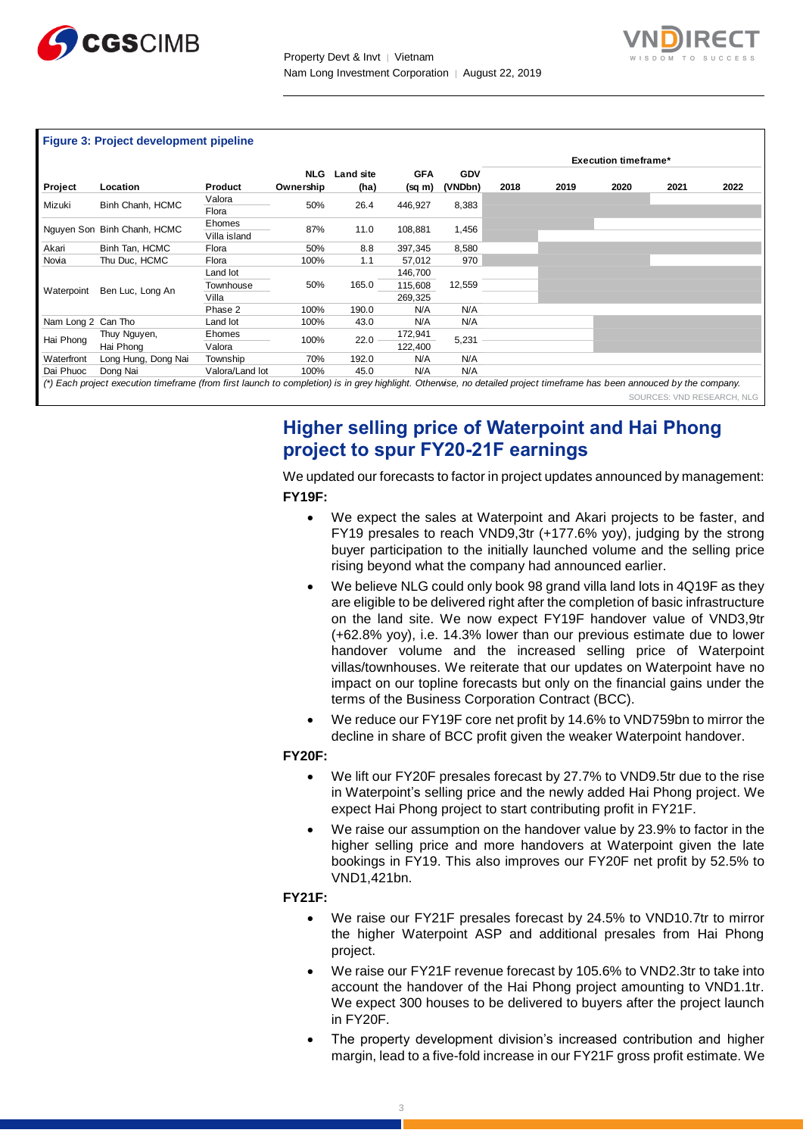



#### **Figure 3: Project development pipeline**

|                    |                                                                                                                                                                         |                                |                         |                   |                               |                       | <b>Execution timeframe*</b> |      |      |      |                            |
|--------------------|-------------------------------------------------------------------------------------------------------------------------------------------------------------------------|--------------------------------|-------------------------|-------------------|-------------------------------|-----------------------|-----------------------------|------|------|------|----------------------------|
| Project            | Location                                                                                                                                                                | Product                        | <b>NLG</b><br>Ownership | Land site<br>(ha) | <b>GFA</b><br>(sq m)          | <b>GDV</b><br>(VNDbn) | 2018                        | 2019 | 2020 | 2021 | 2022                       |
| Mizuki             | Binh Chanh, HCMC                                                                                                                                                        | Valora<br>Flora                | 50%                     | 26.4              | 446,927                       | 8,383                 |                             |      |      |      |                            |
|                    | Nguyen Son Binh Chanh, HCMC                                                                                                                                             | Ehomes<br>Villa island         | 87%                     | 11.0              | 108,881                       | 1,456                 |                             |      |      |      |                            |
| Akari              | Binh Tan, HCMC                                                                                                                                                          | Flora                          | 50%                     | 8.8               | 397,345                       | 8,580                 |                             |      |      |      |                            |
| Novia              | Thu Duc, HCMC                                                                                                                                                           | Flora                          | 100%                    | 1.1               | 57,012                        | 970                   |                             |      |      |      |                            |
| Waterpoint         | Ben Luc, Long An                                                                                                                                                        | Land lot<br>Townhouse<br>Villa | 50%                     | 165.0             | 146,700<br>115,608<br>269,325 | 12,559                |                             |      |      |      |                            |
|                    |                                                                                                                                                                         | Phase 2                        | 100%                    | 190.0             | N/A                           | N/A                   |                             |      |      |      |                            |
| Nam Long 2 Can Tho |                                                                                                                                                                         | Land lot                       | 100%                    | 43.0              | N/A                           | N/A                   |                             |      |      |      |                            |
| Hai Phong          | Thuy Nguyen,<br>Hai Phong                                                                                                                                               | Ehomes<br>Valora               | 100%                    | 22.0              | 172,941<br>122,400            | 5,231                 |                             |      |      |      |                            |
| Waterfront         | Long Hung, Dong Nai                                                                                                                                                     | Township                       | 70%                     | 192.0             | N/A                           | N/A                   |                             |      |      |      |                            |
| Dai Phuoc          | Dong Nai                                                                                                                                                                | Valora/Land lot                | 100%                    | 45.0              | N/A                           | N/A                   |                             |      |      |      |                            |
|                    | (*) Each project execution timeframe (from first launch to completion) is in grey highlight. Otherwise, no detailed project timeframe has been annouced by the company. |                                |                         |                   |                               |                       |                             |      |      |      |                            |
|                    |                                                                                                                                                                         |                                |                         |                   |                               |                       |                             |      |      |      | SOURCES: VND RESEARCH, NLG |

## **Higher selling price of Waterpoint and Hai Phong project to spur FY20-21F earnings**

We updated our forecasts to factor in project updates announced by management: **FY19F:**

- We expect the sales at Waterpoint and Akari projects to be faster, and FY19 presales to reach VND9,3tr (+177.6% yoy), judging by the strong buyer participation to the initially launched volume and the selling price rising beyond what the company had announced earlier.
- We believe NLG could only book 98 grand villa land lots in 4Q19F as they are eligible to be delivered right after the completion of basic infrastructure on the land site. We now expect FY19F handover value of VND3,9tr (+62.8% yoy), i.e. 14.3% lower than our previous estimate due to lower handover volume and the increased selling price of Waterpoint villas/townhouses. We reiterate that our updates on Waterpoint have no impact on our topline forecasts but only on the financial gains under the terms of the Business Corporation Contract (BCC).
- We reduce our FY19F core net profit by 14.6% to VND759bn to mirror the decline in share of BCC profit given the weaker Waterpoint handover.

#### **FY20F:**

- We lift our FY20F presales forecast by 27.7% to VND9.5tr due to the rise in Waterpoint's selling price and the newly added Hai Phong project. We expect Hai Phong project to start contributing profit in FY21F.
- We raise our assumption on the handover value by 23.9% to factor in the higher selling price and more handovers at Waterpoint given the late bookings in FY19. This also improves our FY20F net profit by 52.5% to VND1,421bn.

#### **FY21F:**

- We raise our FY21F presales forecast by 24.5% to VND10.7tr to mirror the higher Waterpoint ASP and additional presales from Hai Phong project.
- We raise our FY21F revenue forecast by 105.6% to VND2.3tr to take into account the handover of the Hai Phong project amounting to VND1.1tr. We expect 300 houses to be delivered to buyers after the project launch in FY20F.
- The property development division's increased contribution and higher margin, lead to a five-fold increase in our FY21F gross profit estimate. We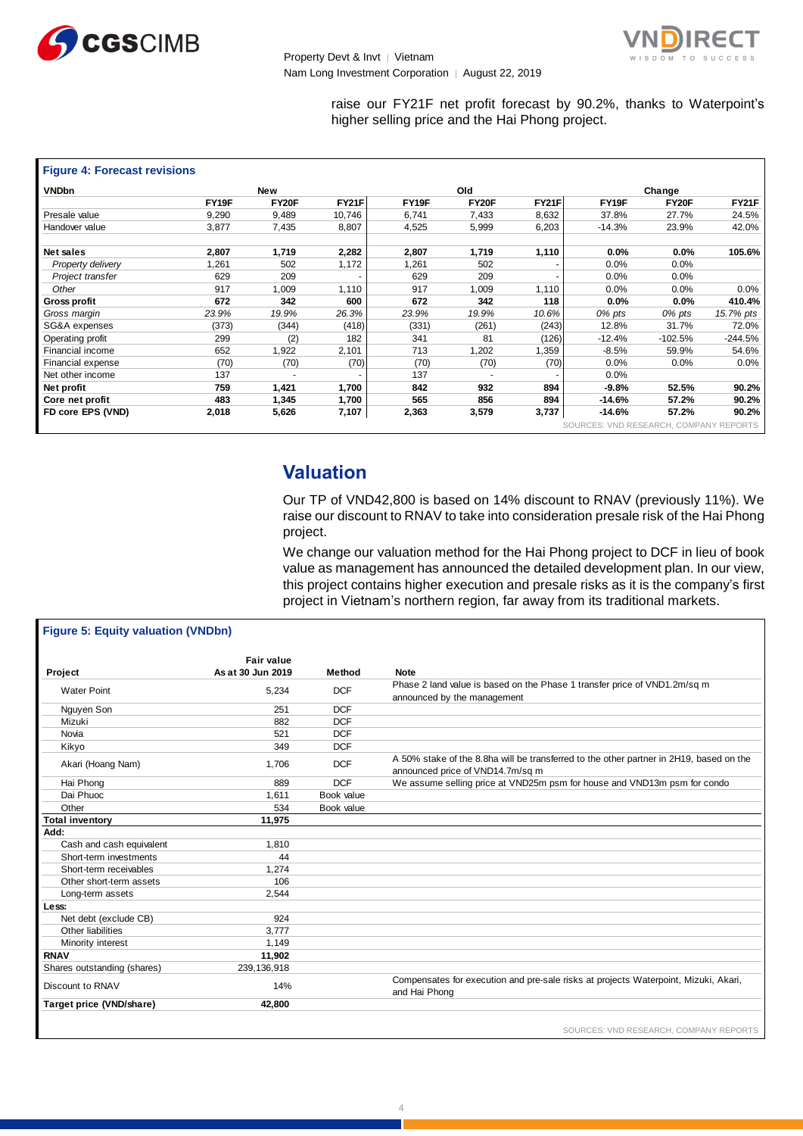



raise our FY21F net profit forecast by 90.2%, thanks to Waterpoint's higher selling price and the Hai Phong project.

| <b>Figure 4: Forecast revisions</b> |       |       |              |       |       |       |                                        |              |              |  |  |
|-------------------------------------|-------|-------|--------------|-------|-------|-------|----------------------------------------|--------------|--------------|--|--|
| <b>VNDbn</b>                        |       | New   |              |       | Old   |       |                                        | Change       |              |  |  |
|                                     | FY19F | FY20F | <b>FY21F</b> | FY19F | FY20F | FY21F | FY19F                                  | <b>FY20F</b> | <b>FY21F</b> |  |  |
| Presale value                       | 9,290 | 9,489 | 10,746       | 6,741 | 7,433 | 8,632 | 37.8%                                  | 27.7%        | 24.5%        |  |  |
| Handover value                      | 3,877 | 7,435 | 8,807        | 4,525 | 5,999 | 6,203 | $-14.3%$                               | 23.9%        | 42.0%        |  |  |
| Net sales                           | 2,807 | 1,719 | 2,282        | 2,807 | 1,719 | 1,110 | 0.0%                                   | $0.0\%$      | 105.6%       |  |  |
| Property delivery                   | 1,261 | 502   | 1,172        | 1,261 | 502   |       | 0.0%                                   | $0.0\%$      |              |  |  |
| Project transfer                    | 629   | 209   |              | 629   | 209   |       | 0.0%                                   | 0.0%         |              |  |  |
| Other                               | 917   | 1,009 | 1,110        | 917   | 1,009 | 1,110 | 0.0%                                   | 0.0%         | 0.0%         |  |  |
| Gross profit                        | 672   | 342   | 600          | 672   | 342   | 118   | 0.0%                                   | $0.0\%$      | 410.4%       |  |  |
| Gross margin                        | 23.9% | 19.9% | 26.3%        | 23.9% | 19.9% | 10.6% | 0% pts                                 | 0% pts       | 15.7% pts    |  |  |
| SG&A expenses                       | (373) | (344) | (418)        | (331) | (261) | (243) | 12.8%                                  | 31.7%        | 72.0%        |  |  |
| Operating profit                    | 299   | (2)   | 182          | 341   | 81    | (126) | $-12.4%$                               | $-102.5%$    | $-244.5%$    |  |  |
| Financial income                    | 652   | 1,922 | 2,101        | 713   | 1,202 | 1,359 | $-8.5%$                                | 59.9%        | 54.6%        |  |  |
| Financial expense                   | (70)  | (70)  | (70)         | (70)  | (70)  | (70)  | 0.0%                                   | 0.0%         | $0.0\%$      |  |  |
| Net other income                    | 137   |       |              | 137   |       |       | 0.0%                                   |              |              |  |  |
| Net profit                          | 759   | 1,421 | 1,700        | 842   | 932   | 894   | $-9.8%$                                | 52.5%        | 90.2%        |  |  |
| Core net profit                     | 483   | 1,345 | 1,700        | 565   | 856   | 894   | $-14.6%$                               | 57.2%        | 90.2%        |  |  |
| FD core EPS (VND)                   | 2,018 | 5,626 | 7,107        | 2,363 | 3,579 | 3,737 | $-14.6%$                               | 57.2%        | 90.2%        |  |  |
|                                     |       |       |              |       |       |       | SOURCES: VND RESEARCH, COMPANY REPORTS |              |              |  |  |

### **Valuation**

Our TP of VND42,800 is based on 14% discount to RNAV (previously 11%). We raise our discount to RNAV to take into consideration presale risk of the Hai Phong project.

We change our valuation method for the Hai Phong project to DCF in lieu of book value as management has announced the detailed development plan. In our view, this project contains higher execution and presale risks as it is the company's first project in Vietnam's northern region, far away from its traditional markets.

| <b>Figure 5: Equity valuation (VNDbn)</b>          |                   |            |                                                                                         |
|----------------------------------------------------|-------------------|------------|-----------------------------------------------------------------------------------------|
|                                                    | <b>Fair value</b> |            |                                                                                         |
| Project                                            | As at 30 Jun 2019 | Method     | <b>Note</b>                                                                             |
|                                                    |                   |            | Phase 2 land value is based on the Phase 1 transfer price of VND1.2m/sq m               |
| <b>Water Point</b>                                 | 5,234             | <b>DCF</b> | announced by the management                                                             |
| Nguyen Son                                         | 251               | <b>DCF</b> |                                                                                         |
| Mizuki                                             | 882               | <b>DCF</b> |                                                                                         |
| Novia                                              | 521               | <b>DCF</b> |                                                                                         |
| Kikyo                                              | 349               | <b>DCF</b> |                                                                                         |
|                                                    |                   |            | A 50% stake of the 8.8ha will be transferred to the other partner in 2H19, based on the |
| Akari (Hoang Nam)                                  | 1,706             | <b>DCF</b> | announced price of VND14.7m/sq m                                                        |
| Hai Phong                                          | 889               | <b>DCF</b> | We assume selling price at VND25m psm for house and VND13m psm for condo                |
| Dai Phuoc                                          | 1.611             | Book value |                                                                                         |
| Other                                              | 534               | Book value |                                                                                         |
| <b>Total inventory</b>                             | 11,975            |            |                                                                                         |
|                                                    |                   |            |                                                                                         |
| Add:                                               |                   |            |                                                                                         |
|                                                    | 1.810             |            |                                                                                         |
| Cash and cash equivalent<br>Short-term investments | 44                |            |                                                                                         |
| Short-term receivables                             | 1.274             |            |                                                                                         |
| Other short-term assets                            | 106               |            |                                                                                         |
| Long-term assets                                   | 2,544             |            |                                                                                         |
| Less:                                              |                   |            |                                                                                         |
| Net debt (exclude CB)                              | 924               |            |                                                                                         |
| Other liabilities                                  | 3,777             |            |                                                                                         |
| Minority interest                                  | 1.149             |            |                                                                                         |
| <b>RNAV</b>                                        | 11,902            |            |                                                                                         |
| Shares outstanding (shares)                        | 239, 136, 918     |            |                                                                                         |
|                                                    |                   |            | Compensates for execution and pre-sale risks at projects Waterpoint, Mizuki, Akari,     |
| Discount to RNAV                                   | 14%               |            | and Hai Phong                                                                           |
| Target price (VND/share)                           | 42,800            |            |                                                                                         |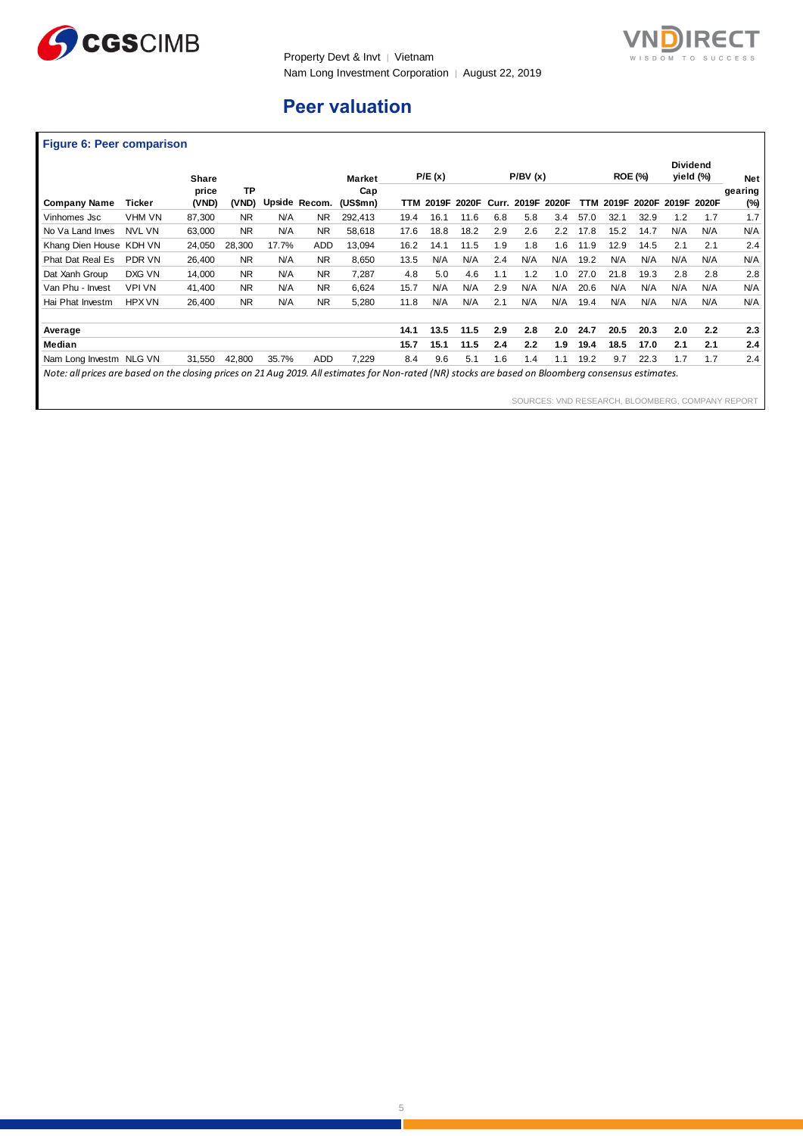



## **Peer valuation**

### **Figure 6: Peer comparison**

|                                                                                                                                                      |               | <b>Share</b>   |                    |       |                | <b>Market</b>   |      | P/E(x) |       |       | P/BV(x) |       |      |       | <b>ROE (%)</b> |     | <b>Dividend</b><br>yield (%) | <b>Net</b>     |
|------------------------------------------------------------------------------------------------------------------------------------------------------|---------------|----------------|--------------------|-------|----------------|-----------------|------|--------|-------|-------|---------|-------|------|-------|----------------|-----|------------------------------|----------------|
| <b>Company Name</b>                                                                                                                                  | Ticker        | price<br>(VND) | <b>TP</b><br>(VND) |       | Upside Recom.  | Cap<br>(US\$mn) | TTM  | 2019F  | 2020F | Curr. | 2019F   | 2020F | TTM  | 2019F | 2020F          |     | 2019F 2020F                  | gearing<br>(%) |
| Vinhomes Jsc                                                                                                                                         | VHM VN        | 87,300         | <b>NR</b>          | N/A   | <b>NR</b>      | 292,413         | 19.4 | 16.1   | 11.6  | 6.8   | 5.8     | 3.4   | 57.0 | 32.1  | 32.9           | 1.2 | 1.7                          | 1.7            |
| No Va Land Inves                                                                                                                                     | <b>NVL VN</b> | 63,000         | <b>NR</b>          | N/A   | <b>NR</b>      | 58,618          | 17.6 | 18.8   | 18.2  | 2.9   | 2.6     | 2.2   | 17.8 | 15.2  | 14.7           | N/A | N/A                          | N/A            |
| Khang Dien House KDH VN                                                                                                                              |               | 24,050         | 28,300             | 17.7% | <b>ADD</b>     | 13,094          | 16.2 | 14.1   | 11.5  | 1.9   | 1.8     | 1.6   | 11.9 | 12.9  | 14.5           | 2.1 | 2.1                          | 2.4            |
| <b>Phat Dat Real Es</b>                                                                                                                              | PDR VN        | 26.400         | <b>NR</b>          | N/A   | N <sub>R</sub> | 8.650           | 13.5 | N/A    | N/A   | 2.4   | N/A     | N/A   | 19.2 | N/A   | N/A            | N/A | N/A                          | N/A            |
| Dat Xanh Group                                                                                                                                       | DXG VN        | 14.000         | <b>NR</b>          | N/A   | <b>NR</b>      | 7.287           | 4.8  | 5.0    | 4.6   | 1.1   | 1.2     | 1.0   | 27.0 | 21.8  | 19.3           | 2.8 | 2.8                          | 2.8            |
| Van Phu - Invest                                                                                                                                     | <b>VPI VN</b> | 41,400         | <b>NR</b>          | N/A   | N <sub>R</sub> | 6,624           | 15.7 | N/A    | N/A   | 2.9   | N/A     | N/A   | 20.6 | N/A   | N/A            | N/A | N/A                          | N/A            |
| Hai Phat Investm                                                                                                                                     | <b>HPX VN</b> | 26.400         | <b>NR</b>          | N/A   | <b>NR</b>      | 5,280           | 11.8 | N/A    | N/A   | 2.1   | N/A     | N/A   | 19.4 | N/A   | N/A            | N/A | N/A                          | N/A            |
| Average                                                                                                                                              |               |                |                    |       |                |                 | 14.1 | 13.5   | 11.5  | 2.9   | 2.8     | 2.0   | 24.7 | 20.5  | 20.3           | 2.0 | 2.2                          | 2.3            |
| Median                                                                                                                                               |               |                |                    |       |                |                 | 15.7 | 15.1   | 11.5  | 2.4   | 2.2     | 1.9   | 19.4 | 18.5  | 17.0           | 2.1 | 2.1                          | 2.4            |
| Nam Long Investm NLG VN                                                                                                                              |               | 31,550         | 42,800             | 35.7% | <b>ADD</b>     | 7,229           | 8.4  | 9.6    | 5.1   | 1.6   | 1.4     | 1.1   | 19.2 | 9.7   | 22.3           | 1.7 | 1.7                          | 2.4            |
| Note: all prices are based on the closing prices on 21 Aug 2019. All estimates for Non-rated (NR) stocks are based on Bloomberg consensus estimates. |               |                |                    |       |                |                 |      |        |       |       |         |       |      |       |                |     |                              |                |

SOURCES: VND RESEARCH, BLOOMBERG, COMPANY REPORT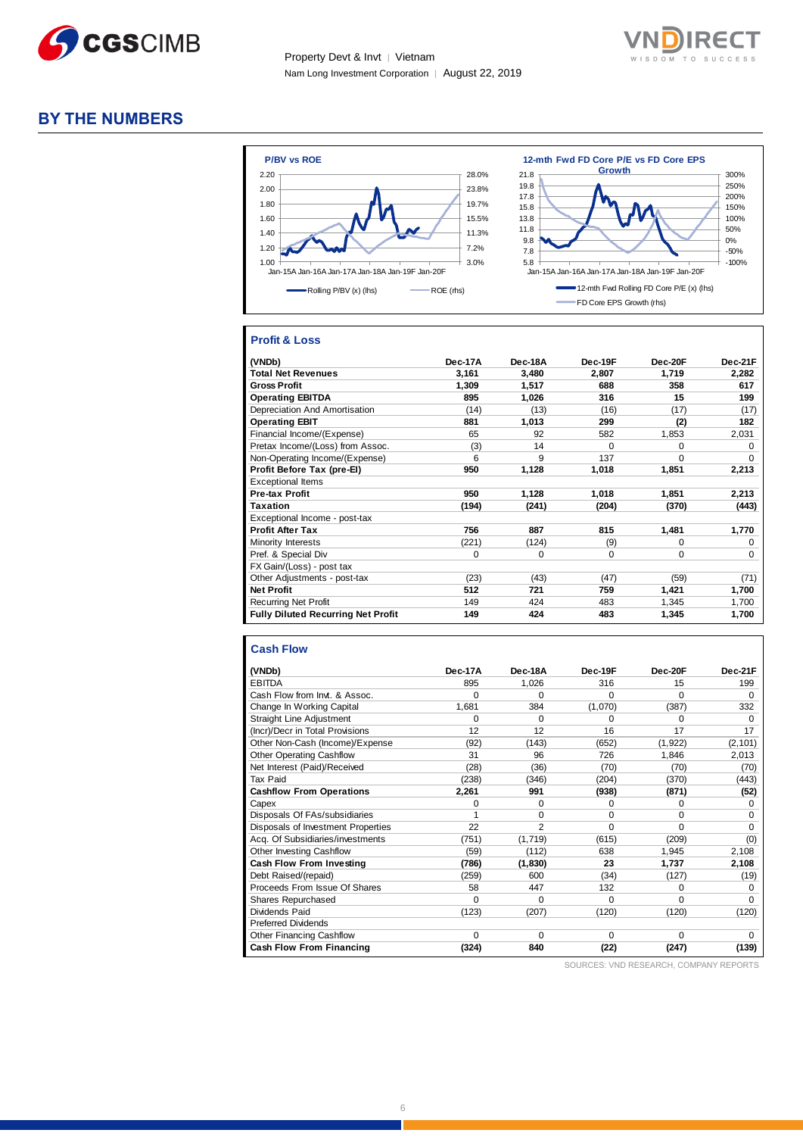



### **BY THE NUMBERS**



#### **Profit & Loss**

| (VNDb)                                    | Dec-17A | Dec-18A | Dec-19F  | Dec-20F  | Dec-21F     |
|-------------------------------------------|---------|---------|----------|----------|-------------|
| <b>Total Net Revenues</b>                 | 3,161   | 3,480   | 2.807    | 1,719    | 2,282       |
| <b>Gross Profit</b>                       | 1,309   | 1,517   | 688      | 358      | 617         |
| <b>Operating EBITDA</b>                   | 895     | 1,026   | 316      | 15       | 199         |
| Depreciation And Amortisation             | (14)    | (13)    | (16)     | (17)     | (17)        |
| <b>Operating EBIT</b>                     | 881     | 1,013   | 299      | (2)      | 182         |
| Financial Income/(Expense)                | 65      | 92      | 582      | 1,853    | 2,031       |
| Pretax Income/(Loss) from Assoc.          | (3)     | 14      | $\Omega$ | $\Omega$ | $\Omega$    |
| Non-Operating Income/(Expense)            | 6       | 9       | 137      | $\Omega$ | $\Omega$    |
| Profit Before Tax (pre-El)                | 950     | 1,128   | 1,018    | 1,851    | 2,213       |
| <b>Exceptional Items</b>                  |         |         |          |          |             |
| Pre-tax Profit                            | 950     | 1,128   | 1,018    | 1,851    | 2,213       |
| <b>Taxation</b>                           | (194)   | (241)   | (204)    | (370)    | (443)       |
| Exceptional Income - post-tax             |         |         |          |          |             |
| <b>Profit After Tax</b>                   | 756     | 887     | 815      | 1,481    | 1,770       |
| Minority Interests                        | (221)   | (124)   | (9)      | $\Omega$ | 0           |
| Pref. & Special Div                       | 0       | 0       | $\Omega$ | 0        | $\mathbf 0$ |
| FX Gain/(Loss) - post tax                 |         |         |          |          |             |
| Other Adjustments - post-tax              | (23)    | (43)    | (47)     | (59)     | (71)        |
| <b>Net Profit</b>                         | 512     | 721     | 759      | 1,421    | 1,700       |
| <b>Recurring Net Profit</b>               | 149     | 424     | 483      | 1,345    | 1,700       |
| <b>Fully Diluted Recurring Net Profit</b> | 149     | 424     | 483      | 1,345    | 1,700       |

#### **Cash Flow**

| (VNDb)                             | Dec-17A  | Dec-18A | Dec-19F | Dec-20F  | Dec-21F  |
|------------------------------------|----------|---------|---------|----------|----------|
| <b>EBITDA</b>                      | 895      | 1,026   | 316     | 15       | 199      |
| Cash Flow from Invt. & Assoc.      | $\Omega$ | 0       | 0       | $\Omega$ | $\Omega$ |
| Change In Working Capital          | 1,681    | 384     | (1,070) | (387)    | 332      |
| <b>Straight Line Adjustment</b>    | $\Omega$ | 0       | 0       | $\Omega$ | $\Omega$ |
| (Incr)/Decr in Total Provisions    | 12       | 12      | 16      | 17       | 17       |
| Other Non-Cash (Income)/Expense    | (92)     | (143)   | (652)   | (1, 922) | (2, 101) |
| <b>Other Operating Cashflow</b>    | 31       | 96      | 726     | 1,846    | 2,013    |
| Net Interest (Paid)/Received       | (28)     | (36)    | (70)    | (70)     | (70)     |
| Tax Paid                           | (238)    | (346)   | (204)   | (370)    | (443)    |
| <b>Cashflow From Operations</b>    | 2,261    | 991     | (938)   | (871)    | (52)     |
| Capex                              | $\Omega$ | 0       | 0       | $\Omega$ | 0        |
| Disposals Of FAs/subsidiaries      |          | 0       | 0       | $\Omega$ | $\Omega$ |
| Disposals of Investment Properties | 22       | 2       | 0       | $\Omega$ | $\Omega$ |
| Acq. Of Subsidiaries/investments   | (751)    | (1,719) | (615)   | (209)    | (0)      |
| Other Investing Cashflow           | (59)     | (112)   | 638     | 1,945    | 2,108    |
| <b>Cash Flow From Investing</b>    | (786)    | (1,830) | 23      | 1,737    | 2,108    |
| Debt Raised/(repaid)               | (259)    | 600     | (34)    | (127)    | (19)     |
| Proceeds From Issue Of Shares      | 58       | 447     | 132     | $\Omega$ | 0        |
| Shares Repurchased                 | $\Omega$ | 0       | 0       | $\Omega$ | $\Omega$ |
| Dividends Paid                     | (123)    | (207)   | (120)   | (120)    | (120)    |
| <b>Preferred Dividends</b>         |          |         |         |          |          |
| Other Financing Cashflow           | $\Omega$ | 0       | 0       | $\Omega$ | $\Omega$ |
| <b>Cash Flow From Financing</b>    | (324)    | 840     | (22)    | (247)    | (139)    |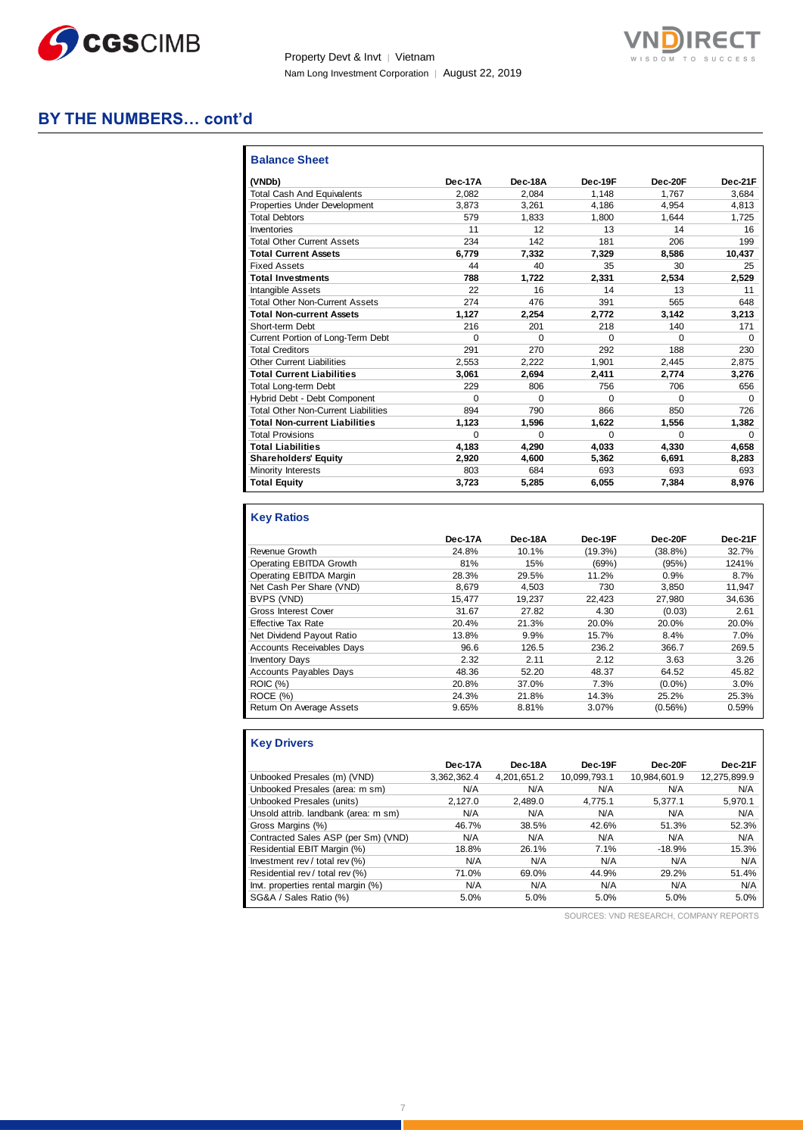



### **BY THE NUMBERS… cont'd**

| <b>Balance Sheet</b>                       |          |          |          |          |          |
|--------------------------------------------|----------|----------|----------|----------|----------|
| (VNDb)                                     | Dec-17A  | Dec-18A  | Dec-19F  | Dec-20F  | Dec-21F  |
| <b>Total Cash And Equivalents</b>          | 2.082    | 2.084    | 1.148    | 1.767    | 3.684    |
| Properties Under Development               | 3.873    | 3.261    | 4.186    | 4.954    | 4.813    |
| <b>Total Debtors</b>                       | 579      | 1.833    | 1.800    | 1.644    | 1.725    |
| Inventories                                | 11       | 12       | 13       | 14       | 16       |
| <b>Total Other Current Assets</b>          | 234      | 142      | 181      | 206      | 199      |
| <b>Total Current Assets</b>                | 6,779    | 7.332    | 7,329    | 8,586    | 10,437   |
| <b>Fixed Assets</b>                        | 44       | 40       | 35       | 30       | 25       |
| <b>Total Investments</b>                   | 788      | 1,722    | 2,331    | 2,534    | 2,529    |
| <b>Intangible Assets</b>                   | 22       | 16       | 14       | 13       | 11       |
| <b>Total Other Non-Current Assets</b>      | 274      | 476      | 391      | 565      | 648      |
| <b>Total Non-current Assets</b>            | 1.127    | 2.254    | 2.772    | 3.142    | 3,213    |
| Short-term Debt                            | 216      | 201      | 218      | 140      | 171      |
| Current Portion of Long-Term Debt          | $\Omega$ | $\Omega$ | $\Omega$ | $\Omega$ | $\Omega$ |
| <b>Total Creditors</b>                     | 291      | 270      | 292      | 188      | 230      |
| <b>Other Current Liabilities</b>           | 2.553    | 2.222    | 1.901    | 2.445    | 2.875    |
| <b>Total Current Liabilities</b>           | 3.061    | 2.694    | 2.411    | 2.774    | 3.276    |
| <b>Total Long-term Debt</b>                | 229      | 806      | 756      | 706      | 656      |
| Hybrid Debt - Debt Component               | $\Omega$ | 0        | 0        | $\Omega$ | $\Omega$ |
| <b>Total Other Non-Current Liabilities</b> | 894      | 790      | 866      | 850      | 726      |
| <b>Total Non-current Liabilities</b>       | 1,123    | 1,596    | 1,622    | 1,556    | 1,382    |
| <b>Total Provisions</b>                    | $\Omega$ | $\Omega$ | $\Omega$ | $\Omega$ | $\Omega$ |
| <b>Total Liabilities</b>                   | 4.183    | 4.290    | 4,033    | 4,330    | 4,658    |
| <b>Shareholders' Equity</b>                | 2,920    | 4,600    | 5,362    | 6,691    | 8,283    |
| Minority Interests                         | 803      | 684      | 693      | 693      | 693      |
| <b>Total Equity</b>                        | 3.723    | 5,285    | 6,055    | 7.384    | 8.976    |

#### **Key Ratios**

|                                  | Dec-17A | Dec-18A | Dec-19F    | Dec-20F    | Dec-21F |
|----------------------------------|---------|---------|------------|------------|---------|
| Revenue Growth                   | 24.8%   | 10.1%   | $(19.3\%)$ | $(38.8\%)$ | 32.7%   |
| Operating EBITDA Growth          | 81%     | 15%     | (69%)      | (95%)      | 1241%   |
| Operating EBITDA Margin          | 28.3%   | 29.5%   | 11.2%      | 0.9%       | 8.7%    |
| Net Cash Per Share (VND)         | 8.679   | 4.503   | 730        | 3,850      | 11,947  |
| BVPS (VND)                       | 15.477  | 19.237  | 22.423     | 27.980     | 34.636  |
| <b>Gross Interest Cover</b>      | 31.67   | 27.82   | 4.30       | (0.03)     | 2.61    |
| <b>Effective Tax Rate</b>        | 20.4%   | 21.3%   | 20.0%      | 20.0%      | 20.0%   |
| Net Dividend Payout Ratio        | 13.8%   | 9.9%    | 15.7%      | 8.4%       | 7.0%    |
| <b>Accounts Receivables Days</b> | 96.6    | 126.5   | 236.2      | 366.7      | 269.5   |
| <b>Inventory Days</b>            | 2.32    | 2.11    | 2.12       | 3.63       | 3.26    |
| <b>Accounts Payables Days</b>    | 48.36   | 52.20   | 48.37      | 64.52      | 45.82   |
| <b>ROIC (%)</b>                  | 20.8%   | 37.0%   | 7.3%       | $(0.0\%)$  | 3.0%    |
| ROCE (%)                         | 24.3%   | 21.8%   | 14.3%      | 25.2%      | 25.3%   |
| Return On Average Assets         | 9.65%   | 8.81%   | 3.07%      | (0.56%)    | 0.59%   |

### **Key Drivers**

|                                      | Dec-17A     | Dec-18A     | Dec-19F      | Dec-20F      | Dec-21F      |
|--------------------------------------|-------------|-------------|--------------|--------------|--------------|
| Unbooked Presales (m) (VND)          | 3,362,362.4 | 4,201,651.2 | 10,099,793.1 | 10,984,601.9 | 12,275,899.9 |
| Unbooked Presales (area: m sm)       | N/A         | N/A         | N/A          | N/A          | N/A          |
| Unbooked Presales (units)            | 2.127.0     | 2.489.0     | 4.775.1      | 5.377.1      | 5,970.1      |
| Unsold attrib. landbank (area: m sm) | N/A         | N/A         | N/A          | N/A          | N/A          |
| Gross Margins (%)                    | 46.7%       | 38.5%       | 42.6%        | 51.3%        | 52.3%        |
| Contracted Sales ASP (per Sm) (VND)  | N/A         | N/A         | N/A          | N/A          | N/A          |
| Residential EBIT Margin (%)          | 18.8%       | 26.1%       | 7.1%         | $-18.9%$     | 15.3%        |
| Investment rev / total rev (%)       | N/A         | N/A         | N/A          | N/A          | N/A          |
| Residential rev / total rev (%)      | 71.0%       | 69.0%       | 44.9%        | 29.2%        | 51.4%        |
| Invt. properties rental margin (%)   | N/A         | N/A         | N/A          | N/A          | N/A          |
| SG&A / Sales Ratio (%)               | 5.0%        | 5.0%        | 5.0%         | 5.0%         | 5.0%         |
|                                      |             |             |              |              |              |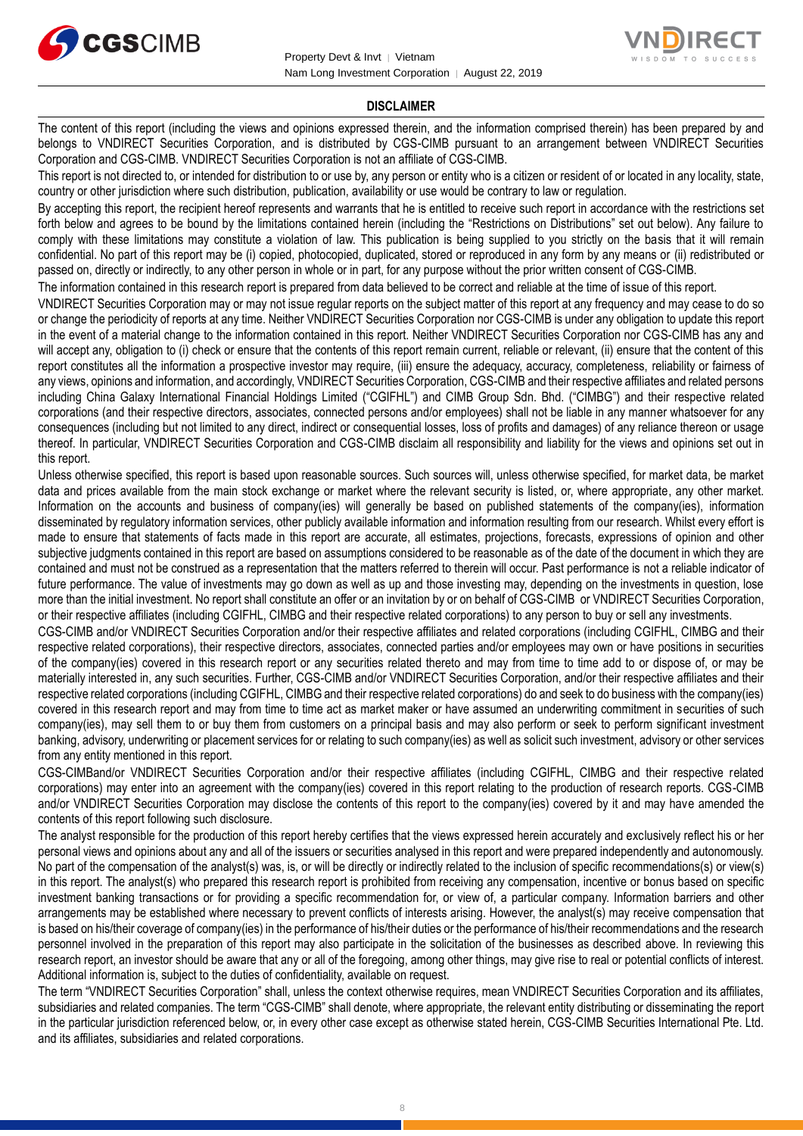



#### **DISCLAIMER**

The content of this report (including the views and opinions expressed therein, and the information comprised therein) has been prepared by and belongs to VNDIRECT Securities Corporation, and is distributed by CGS-CIMB pursuant to an arrangement between VNDIRECT Securities Corporation and CGS-CIMB. VNDIRECT Securities Corporation is not an affiliate of CGS-CIMB.

This report is not directed to, or intended for distribution to or use by, any person or entity who is a citizen or resident of or located in any locality, state, country or other jurisdiction where such distribution, publication, availability or use would be contrary to law or regulation.

By accepting this report, the recipient hereof represents and warrants that he is entitled to receive such report in accordance with the restrictions set forth below and agrees to be bound by the limitations contained herein (including the "Restrictions on Distributions" set out below). Any failure to comply with these limitations may constitute a violation of law. This publication is being supplied to you strictly on the basis that it will remain confidential. No part of this report may be (i) copied, photocopied, duplicated, stored or reproduced in any form by any means or (ii) redistributed or passed on, directly or indirectly, to any other person in whole or in part, for any purpose without the prior written consent of CGS-CIMB.

The information contained in this research report is prepared from data believed to be correct and reliable at the time of issue of this report.

VNDIRECT Securities Corporation may or may not issue regular reports on the subject matter of this report at any frequency and may cease to do so or change the periodicity of reports at any time. Neither VNDIRECT Securities Corporation nor CGS-CIMB is under any obligation to update this report in the event of a material change to the information contained in this report. Neither VNDIRECT Securities Corporation nor CGS-CIMB has any and will accept any, obligation to (i) check or ensure that the contents of this report remain current, reliable or relevant, (ii) ensure that the content of this report constitutes all the information a prospective investor may require, (iii) ensure the adequacy, accuracy, completeness, reliability or fairness of any views, opinions and information, and accordingly, VNDIRECT Securities Corporation, CGS-CIMB and their respective affiliates and related persons including China Galaxy International Financial Holdings Limited ("CGIFHL") and CIMB Group Sdn. Bhd. ("CIMBG") and their respective related corporations (and their respective directors, associates, connected persons and/or employees) shall not be liable in any manner whatsoever for any consequences (including but not limited to any direct, indirect or consequential losses, loss of profits and damages) of any reliance thereon or usage thereof. In particular, VNDIRECT Securities Corporation and CGS-CIMB disclaim all responsibility and liability for the views and opinions set out in this report.

Unless otherwise specified, this report is based upon reasonable sources. Such sources will, unless otherwise specified, for market data, be market data and prices available from the main stock exchange or market where the relevant security is listed, or, where appropriate, any other market. Information on the accounts and business of company(ies) will generally be based on published statements of the company(ies), information disseminated by regulatory information services, other publicly available information and information resulting from our research. Whilst every effort is made to ensure that statements of facts made in this report are accurate, all estimates, projections, forecasts, expressions of opinion and other subjective judgments contained in this report are based on assumptions considered to be reasonable as of the date of the document in which they are contained and must not be construed as a representation that the matters referred to therein will occur. Past performance is not a reliable indicator of future performance. The value of investments may go down as well as up and those investing may, depending on the investments in question, lose more than the initial investment. No report shall constitute an offer or an invitation by or on behalf of CGS-CIMB or VNDIRECT Securities Corporation, or their respective affiliates (including CGIFHL, CIMBG and their respective related corporations) to any person to buy or sell any investments.

CGS-CIMB and/or VNDIRECT Securities Corporation and/or their respective affiliates and related corporations (including CGIFHL, CIMBG and their respective related corporations), their respective directors, associates, connected parties and/or employees may own or have positions in securities of the company(ies) covered in this research report or any securities related thereto and may from time to time add to or dispose of, or may be materially interested in, any such securities. Further, CGS-CIMB and/or VNDIRECT Securities Corporation, and/or their respective affiliates and their respective related corporations (including CGIFHL, CIMBG and their respective related corporations) do and seek to do business with the company(ies) covered in this research report and may from time to time act as market maker or have assumed an underwriting commitment in securities of such company(ies), may sell them to or buy them from customers on a principal basis and may also perform or seek to perform significant investment banking, advisory, underwriting or placement services for or relating to such company(ies) as well as solicit such investment, advisory or other services from any entity mentioned in this report.

CGS-CIMBand/or VNDIRECT Securities Corporation and/or their respective affiliates (including CGIFHL, CIMBG and their respective related corporations) may enter into an agreement with the company(ies) covered in this report relating to the production of research reports. CGS-CIMB and/or VNDIRECT Securities Corporation may disclose the contents of this report to the company(ies) covered by it and may have amended the contents of this report following such disclosure.

The analyst responsible for the production of this report hereby certifies that the views expressed herein accurately and exclusively reflect his or her personal views and opinions about any and all of the issuers or securities analysed in this report and were prepared independently and autonomously. No part of the compensation of the analyst(s) was, is, or will be directly or indirectly related to the inclusion of specific recommendations(s) or view(s) in this report. The analyst(s) who prepared this research report is prohibited from receiving any compensation, incentive or bonus based on specific investment banking transactions or for providing a specific recommendation for, or view of, a particular company. Information barriers and other arrangements may be established where necessary to prevent conflicts of interests arising. However, the analyst(s) may receive compensation that is based on his/their coverage of company(ies) in the performance of his/their duties or the performance of his/their recommendations and the research personnel involved in the preparation of this report may also participate in the solicitation of the businesses as described above. In reviewing this research report, an investor should be aware that any or all of the foregoing, among other things, may give rise to real or potential conflicts of interest. Additional information is, subject to the duties of confidentiality, available on request.

The term "VNDIRECT Securities Corporation" shall, unless the context otherwise requires, mean VNDIRECT Securities Corporation and its affiliates, subsidiaries and related companies. The term "CGS-CIMB" shall denote, where appropriate, the relevant entity distributing or disseminating the report in the particular jurisdiction referenced below, or, in every other case except as otherwise stated herein, CGS-CIMB Securities International Pte. Ltd. and its affiliates, subsidiaries and related corporations.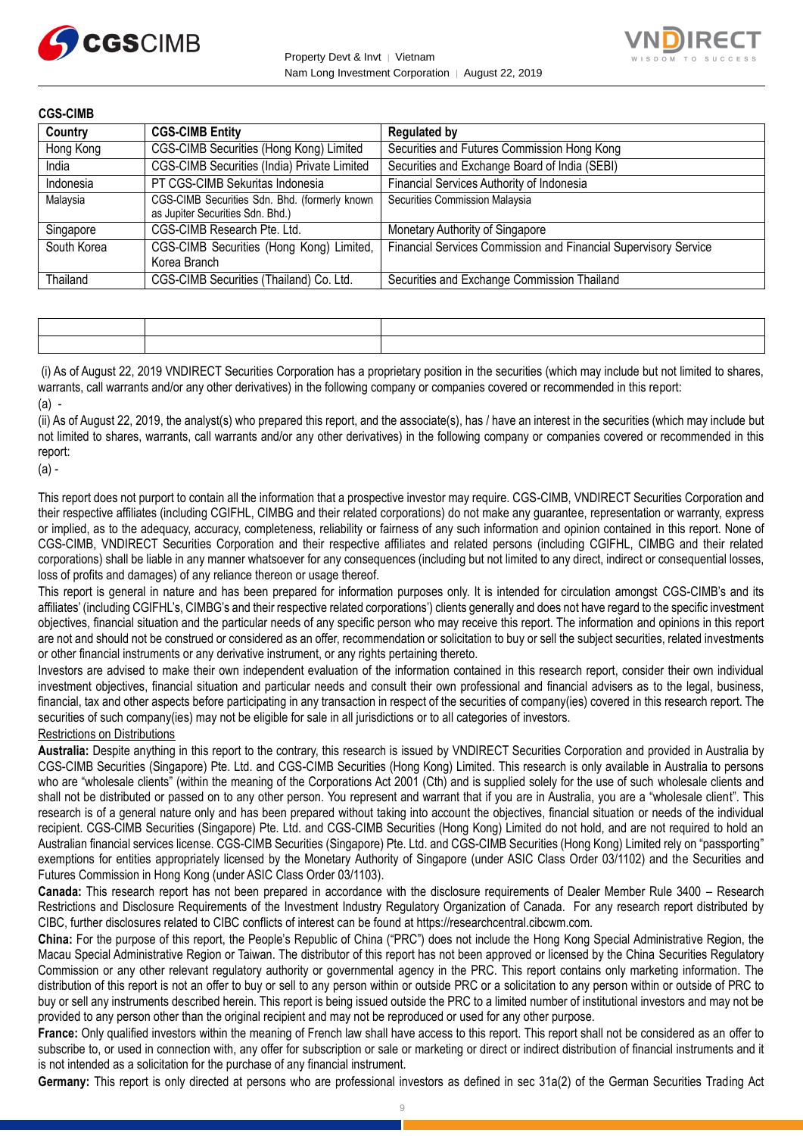



| <b>CGS-CIMB</b> |                                                                                   |                                                                 |
|-----------------|-----------------------------------------------------------------------------------|-----------------------------------------------------------------|
| Country         | <b>CGS-CIMB Entity</b>                                                            | <b>Regulated by</b>                                             |
| Hong Kong       | CGS-CIMB Securities (Hong Kong) Limited                                           | Securities and Futures Commission Hong Kong                     |
| India           | CGS-CIMB Securities (India) Private Limited                                       | Securities and Exchange Board of India (SEBI)                   |
| Indonesia       | PT CGS-CIMB Sekuritas Indonesia                                                   | Financial Services Authority of Indonesia                       |
| Malaysia        | CGS-CIMB Securities Sdn. Bhd. (formerly known<br>as Jupiter Securities Sdn. Bhd.) | Securities Commission Malaysia                                  |
| Singapore       | CGS-CIMB Research Pte. Ltd.                                                       | Monetary Authority of Singapore                                 |
| South Korea     | CGS-CIMB Securities (Hong Kong) Limited,<br>Korea Branch                          | Financial Services Commission and Financial Supervisory Service |
| Thailand        | CGS-CIMB Securities (Thailand) Co. Ltd.                                           | Securities and Exchange Commission Thailand                     |

| the contract of the contract of the contract of the contract of the contract of the contract of the contract of |  |
|-----------------------------------------------------------------------------------------------------------------|--|

(i) As of August 22, 2019 VNDIRECT Securities Corporation has a proprietary position in the securities (which may include but not limited to shares, warrants, call warrants and/or any other derivatives) in the following company or companies covered or recommended in this report: (a) -

(ii) As of August 22, 2019, the analyst(s) who prepared this report, and the associate(s), has / have an interest in the securities (which may include but not limited to shares, warrants, call warrants and/or any other derivatives) in the following company or companies covered or recommended in this report:

(a) -

This report does not purport to contain all the information that a prospective investor may require. CGS-CIMB, VNDIRECT Securities Corporation and their respective affiliates (including CGIFHL, CIMBG and their related corporations) do not make any guarantee, representation or warranty, express or implied, as to the adequacy, accuracy, completeness, reliability or fairness of any such information and opinion contained in this report. None of CGS-CIMB, VNDIRECT Securities Corporation and their respective affiliates and related persons (including CGIFHL, CIMBG and their related corporations) shall be liable in any manner whatsoever for any consequences (including but not limited to any direct, indirect or consequential losses, loss of profits and damages) of any reliance thereon or usage thereof.

This report is general in nature and has been prepared for information purposes only. It is intended for circulation amongst CGS-CIMB's and its affiliates' (including CGIFHL's, CIMBG's and their respective related corporations') clients generally and does not have regard to the specific investment objectives, financial situation and the particular needs of any specific person who may receive this report. The information and opinions in this report are not and should not be construed or considered as an offer, recommendation or solicitation to buy or sell the subject securities, related investments or other financial instruments or any derivative instrument, or any rights pertaining thereto.

Investors are advised to make their own independent evaluation of the information contained in this research report, consider their own individual investment objectives, financial situation and particular needs and consult their own professional and financial advisers as to the legal, business, financial, tax and other aspects before participating in any transaction in respect of the securities of company(ies) covered in this research report. The securities of such company(ies) may not be eligible for sale in all jurisdictions or to all categories of investors.

Restrictions on Distributions

**Australia:** Despite anything in this report to the contrary, this research is issued by VNDIRECT Securities Corporation and provided in Australia by CGS-CIMB Securities (Singapore) Pte. Ltd. and CGS-CIMB Securities (Hong Kong) Limited. This research is only available in Australia to persons who are "wholesale clients" (within the meaning of the Corporations Act 2001 (Cth) and is supplied solely for the use of such wholesale clients and shall not be distributed or passed on to any other person. You represent and warrant that if you are in Australia, you are a "wholesale client". This research is of a general nature only and has been prepared without taking into account the objectives, financial situation or needs of the individual recipient. CGS-CIMB Securities (Singapore) Pte. Ltd. and CGS-CIMB Securities (Hong Kong) Limited do not hold, and are not required to hold an Australian financial services license. CGS-CIMB Securities (Singapore) Pte. Ltd. and CGS-CIMB Securities (Hong Kong) Limited rely on "passporting" exemptions for entities appropriately licensed by the Monetary Authority of Singapore (under ASIC Class Order 03/1102) and the Securities and Futures Commission in Hong Kong (under ASIC Class Order 03/1103).

**Canada:** This research report has not been prepared in accordance with the disclosure requirements of Dealer Member Rule 3400 – Research Restrictions and Disclosure Requirements of the Investment Industry Regulatory Organization of Canada. For any research report distributed by CIBC, further disclosures related to CIBC conflicts of interest can be found at https://researchcentral.cibcwm.com.

**China:** For the purpose of this report, the People's Republic of China ("PRC") does not include the Hong Kong Special Administrative Region, the Macau Special Administrative Region or Taiwan. The distributor of this report has not been approved or licensed by the China Securities Regulatory Commission or any other relevant regulatory authority or governmental agency in the PRC. This report contains only marketing information. The distribution of this report is not an offer to buy or sell to any person within or outside PRC or a solicitation to any person within or outside of PRC to buy or sell any instruments described herein. This report is being issued outside the PRC to a limited number of institutional investors and may not be provided to any person other than the original recipient and may not be reproduced or used for any other purpose.

**France:** Only qualified investors within the meaning of French law shall have access to this report. This report shall not be considered as an offer to subscribe to, or used in connection with, any offer for subscription or sale or marketing or direct or indirect distribution of financial instruments and it is not intended as a solicitation for the purchase of any financial instrument.

**Germany:** This report is only directed at persons who are professional investors as defined in sec 31a(2) of the German Securities Trading Act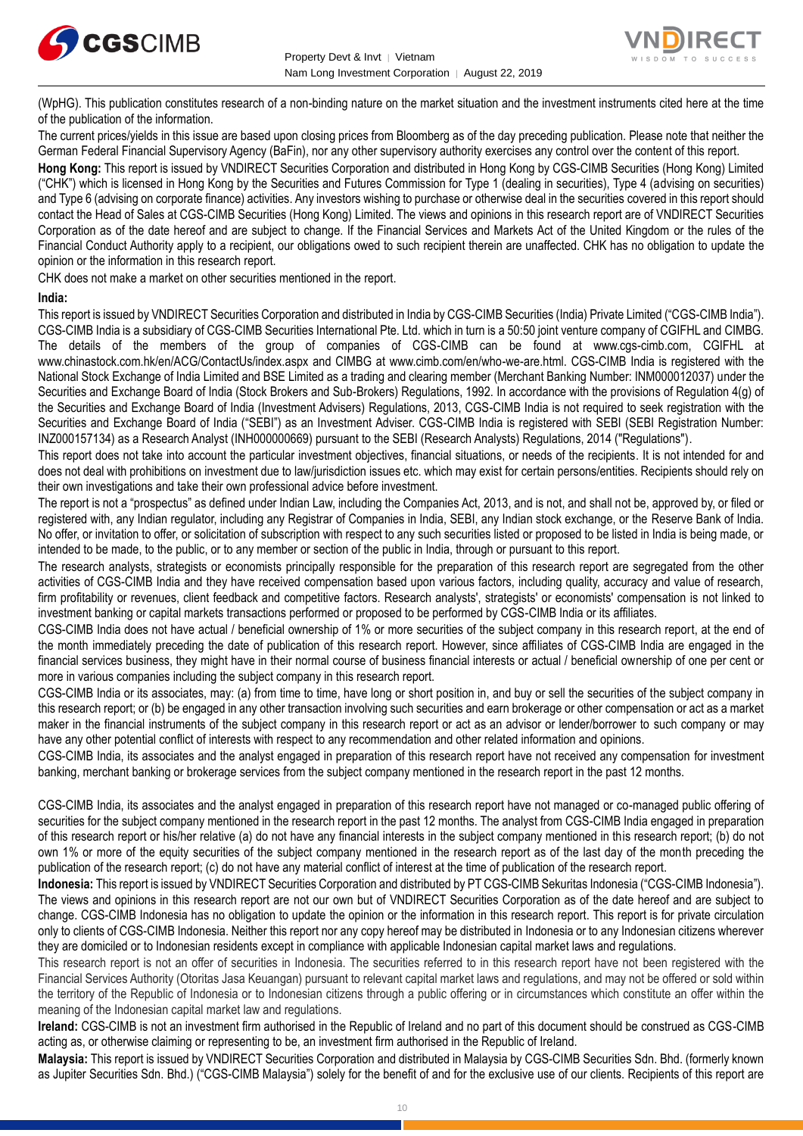



(WpHG). This publication constitutes research of a non-binding nature on the market situation and the investment instruments cited here at the time of the publication of the information.

The current prices/yields in this issue are based upon closing prices from Bloomberg as of the day preceding publication. Please note that neither the German Federal Financial Supervisory Agency (BaFin), nor any other supervisory authority exercises any control over the content of this report.

**Hong Kong:** This report is issued by VNDIRECT Securities Corporation and distributed in Hong Kong by CGS-CIMB Securities (Hong Kong) Limited ("CHK") which is licensed in Hong Kong by the Securities and Futures Commission for Type 1 (dealing in securities), Type 4 (advising on securities) and Type 6 (advising on corporate finance) activities. Any investors wishing to purchase or otherwise deal in the securities covered in this report should contact the Head of Sales at CGS-CIMB Securities (Hong Kong) Limited. The views and opinions in this research report are of VNDIRECT Securities Corporation as of the date hereof and are subject to change. If the Financial Services and Markets Act of the United Kingdom or the rules of the Financial Conduct Authority apply to a recipient, our obligations owed to such recipient therein are unaffected. CHK has no obligation to update the opinion or the information in this research report.

CHK does not make a market on other securities mentioned in the report.

#### **India:**

This report is issued by VNDIRECT Securities Corporation and distributed in India by CGS-CIMB Securities (India) Private Limited ("CGS-CIMB India"). CGS-CIMB India is a subsidiary of CGS-CIMB Securities International Pte. Ltd. which in turn is a 50:50 joint venture company of CGIFHL and CIMBG. The details of the members of the group of companies of CGS-CIMB can be found at www.cgs-cimb.com, CGIFHL at www.chinastock.com.hk/en/ACG/ContactUs/index.aspx and CIMBG at www.cimb.com/en/who-we-are.html. CGS-CIMB India is registered with the National Stock Exchange of India Limited and BSE Limited as a trading and clearing member (Merchant Banking Number: INM000012037) under the Securities and Exchange Board of India (Stock Brokers and Sub-Brokers) Regulations, 1992. In accordance with the provisions of Regulation 4(g) of the Securities and Exchange Board of India (Investment Advisers) Regulations, 2013, CGS-CIMB India is not required to seek registration with the Securities and Exchange Board of India ("SEBI") as an Investment Adviser. CGS-CIMB India is registered with SEBI (SEBI Registration Number: INZ000157134) as a Research Analyst (INH000000669) pursuant to the SEBI (Research Analysts) Regulations, 2014 ("Regulations").

This report does not take into account the particular investment objectives, financial situations, or needs of the recipients. It is not intended for and does not deal with prohibitions on investment due to law/jurisdiction issues etc. which may exist for certain persons/entities. Recipients should rely on their own investigations and take their own professional advice before investment.

The report is not a "prospectus" as defined under Indian Law, including the Companies Act, 2013, and is not, and shall not be, approved by, or filed or registered with, any Indian regulator, including any Registrar of Companies in India, SEBI, any Indian stock exchange, or the Reserve Bank of India. No offer, or invitation to offer, or solicitation of subscription with respect to any such securities listed or proposed to be listed in India is being made, or intended to be made, to the public, or to any member or section of the public in India, through or pursuant to this report.

The research analysts, strategists or economists principally responsible for the preparation of this research report are segregated from the other activities of CGS-CIMB India and they have received compensation based upon various factors, including quality, accuracy and value of research, firm profitability or revenues, client feedback and competitive factors. Research analysts', strategists' or economists' compensation is not linked to investment banking or capital markets transactions performed or proposed to be performed by CGS-CIMB India or its affiliates.

CGS-CIMB India does not have actual / beneficial ownership of 1% or more securities of the subject company in this research report, at the end of the month immediately preceding the date of publication of this research report. However, since affiliates of CGS-CIMB India are engaged in the financial services business, they might have in their normal course of business financial interests or actual / beneficial ownership of one per cent or more in various companies including the subject company in this research report.

CGS-CIMB India or its associates, may: (a) from time to time, have long or short position in, and buy or sell the securities of the subject company in this research report; or (b) be engaged in any other transaction involving such securities and earn brokerage or other compensation or act as a market maker in the financial instruments of the subject company in this research report or act as an advisor or lender/borrower to such company or may have any other potential conflict of interests with respect to any recommendation and other related information and opinions.

CGS-CIMB India, its associates and the analyst engaged in preparation of this research report have not received any compensation for investment banking, merchant banking or brokerage services from the subject company mentioned in the research report in the past 12 months.

CGS-CIMB India, its associates and the analyst engaged in preparation of this research report have not managed or co-managed public offering of securities for the subject company mentioned in the research report in the past 12 months. The analyst from CGS-CIMB India engaged in preparation of this research report or his/her relative (a) do not have any financial interests in the subject company mentioned in this research report; (b) do not own 1% or more of the equity securities of the subject company mentioned in the research report as of the last day of the month preceding the publication of the research report; (c) do not have any material conflict of interest at the time of publication of the research report.

**Indonesia:** This report is issued by VNDIRECT Securities Corporation and distributed by PT CGS-CIMB Sekuritas Indonesia ("CGS-CIMB Indonesia"). The views and opinions in this research report are not our own but of VNDIRECT Securities Corporation as of the date hereof and are subject to change. CGS-CIMB Indonesia has no obligation to update the opinion or the information in this research report. This report is for private circulation only to clients of CGS-CIMB Indonesia. Neither this report nor any copy hereof may be distributed in Indonesia or to any Indonesian citizens wherever they are domiciled or to Indonesian residents except in compliance with applicable Indonesian capital market laws and regulations.

This research report is not an offer of securities in Indonesia. The securities referred to in this research report have not been registered with the Financial Services Authority (Otoritas Jasa Keuangan) pursuant to relevant capital market laws and regulations, and may not be offered or sold within the territory of the Republic of Indonesia or to Indonesian citizens through a public offering or in circumstances which constitute an offer within the meaning of the Indonesian capital market law and regulations.

**Ireland:** CGS-CIMB is not an investment firm authorised in the Republic of Ireland and no part of this document should be construed as CGS-CIMB acting as, or otherwise claiming or representing to be, an investment firm authorised in the Republic of Ireland.

**Malaysia:** This report is issued by VNDIRECT Securities Corporation and distributed in Malaysia by CGS-CIMB Securities Sdn. Bhd. (formerly known as Jupiter Securities Sdn. Bhd.) ("CGS-CIMB Malaysia") solely for the benefit of and for the exclusive use of our clients. Recipients of this report are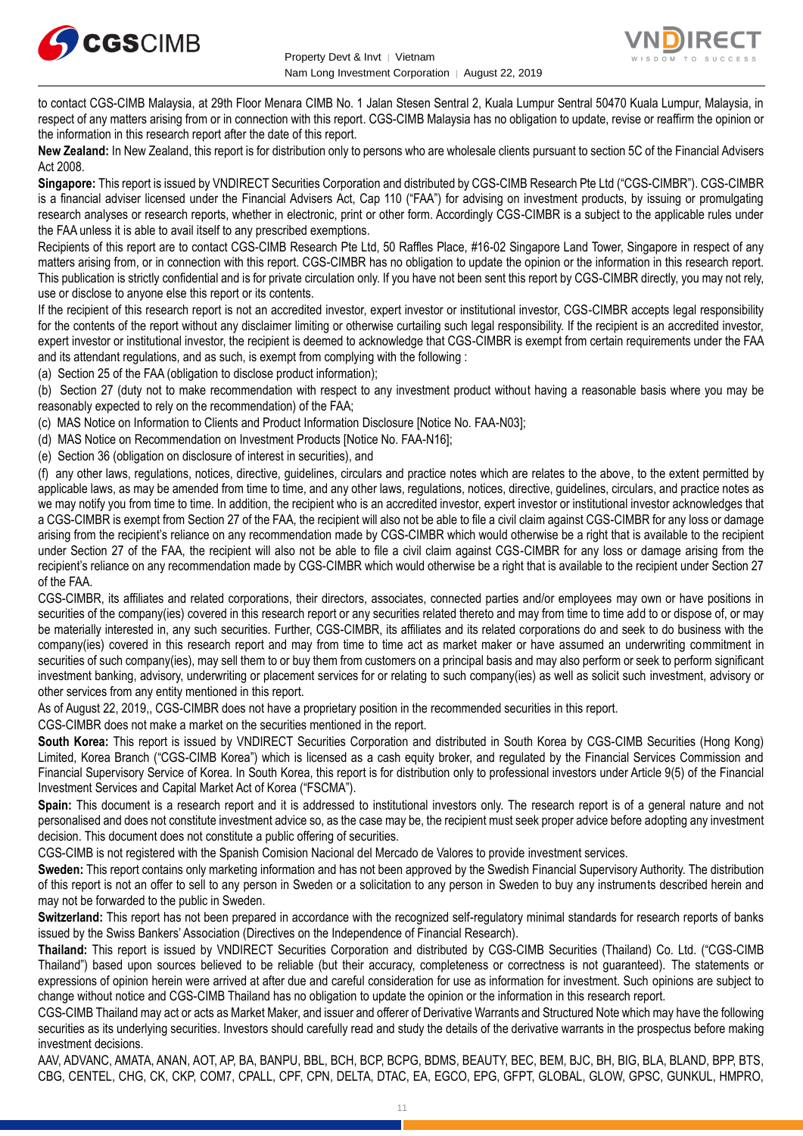



to contact CGS-CIMB Malaysia, at 29th Floor Menara CIMB No. 1 Jalan Stesen Sentral 2, Kuala Lumpur Sentral 50470 Kuala Lumpur, Malaysia, in respect of any matters arising from or in connection with this report. CGS-CIMB Malaysia has no obligation to update, revise or reaffirm the opinion or the information in this research report after the date of this report.

**New Zealand:** In New Zealand, this report is for distribution only to persons who are wholesale clients pursuant to section 5C of the Financial Advisers Act 2008.

**Singapore:** This report is issued by VNDIRECT Securities Corporation and distributed by CGS-CIMB Research Pte Ltd ("CGS-CIMBR"). CGS-CIMBR is a financial adviser licensed under the Financial Advisers Act, Cap 110 ("FAA") for advising on investment products, by issuing or promulgating research analyses or research reports, whether in electronic, print or other form. Accordingly CGS-CIMBR is a subject to the applicable rules under the FAA unless it is able to avail itself to any prescribed exemptions.

Recipients of this report are to contact CGS-CIMB Research Pte Ltd, 50 Raffles Place, #16-02 Singapore Land Tower, Singapore in respect of any matters arising from, or in connection with this report. CGS-CIMBR has no obligation to update the opinion or the information in this research report. This publication is strictly confidential and is for private circulation only. If you have not been sent this report by CGS-CIMBR directly, you may not rely, use or disclose to anyone else this report or its contents.

If the recipient of this research report is not an accredited investor, expert investor or institutional investor, CGS-CIMBR accepts legal responsibility for the contents of the report without any disclaimer limiting or otherwise curtailing such legal responsibility. If the recipient is an accredited investor, expert investor or institutional investor, the recipient is deemed to acknowledge that CGS-CIMBR is exempt from certain requirements under the FAA and its attendant regulations, and as such, is exempt from complying with the following :

(a) Section 25 of the FAA (obligation to disclose product information);

(b) Section 27 (duty not to make recommendation with respect to any investment product without having a reasonable basis where you may be reasonably expected to rely on the recommendation) of the FAA;

(c) MAS Notice on Information to Clients and Product Information Disclosure [Notice No. FAA-N03];

(d) MAS Notice on Recommendation on Investment Products [Notice No. FAA-N16];

(e) Section 36 (obligation on disclosure of interest in securities), and

(f) any other laws, regulations, notices, directive, guidelines, circulars and practice notes which are relates to the above, to the extent permitted by applicable laws, as may be amended from time to time, and any other laws, regulations, notices, directive, guidelines, circulars, and practice notes as we may notify you from time to time. In addition, the recipient who is an accredited investor, expert investor or institutional investor acknowledges that a CGS-CIMBR is exempt from Section 27 of the FAA, the recipient will also not be able to file a civil claim against CGS-CIMBR for any loss or damage arising from the recipient's reliance on any recommendation made by CGS-CIMBR which would otherwise be a right that is available to the recipient under Section 27 of the FAA, the recipient will also not be able to file a civil claim against CGS-CIMBR for any loss or damage arising from the recipient's reliance on any recommendation made by CGS-CIMBR which would otherwise be a right that is available to the recipient under Section 27 of the FAA.

CGS-CIMBR, its affiliates and related corporations, their directors, associates, connected parties and/or employees may own or have positions in securities of the company(ies) covered in this research report or any securities related thereto and may from time to time add to or dispose of, or may be materially interested in, any such securities. Further, CGS-CIMBR, its affiliates and its related corporations do and seek to do business with the company(ies) covered in this research report and may from time to time act as market maker or have assumed an underwriting commitment in securities of such company(ies), may sell them to or buy them from customers on a principal basis and may also perform or seek to perform significant investment banking, advisory, underwriting or placement services for or relating to such company(ies) as well as solicit such investment, advisory or other services from any entity mentioned in this report.

As of August 22, 2019,, CGS-CIMBR does not have a proprietary position in the recommended securities in this report.

CGS-CIMBR does not make a market on the securities mentioned in the report.

**South Korea:** This report is issued by VNDIRECT Securities Corporation and distributed in South Korea by CGS-CIMB Securities (Hong Kong) Limited, Korea Branch ("CGS-CIMB Korea") which is licensed as a cash equity broker, and regulated by the Financial Services Commission and Financial Supervisory Service of Korea. In South Korea, this report is for distribution only to professional investors under Article 9(5) of the Financial Investment Services and Capital Market Act of Korea ("FSCMA").

**Spain:** This document is a research report and it is addressed to institutional investors only. The research report is of a general nature and not personalised and does not constitute investment advice so, as the case may be, the recipient must seek proper advice before adopting any investment decision. This document does not constitute a public offering of securities.

CGS-CIMB is not registered with the Spanish Comision Nacional del Mercado de Valores to provide investment services.

**Sweden:** This report contains only marketing information and has not been approved by the Swedish Financial Supervisory Authority. The distribution of this report is not an offer to sell to any person in Sweden or a solicitation to any person in Sweden to buy any instruments described herein and may not be forwarded to the public in Sweden.

**Switzerland:** This report has not been prepared in accordance with the recognized self-regulatory minimal standards for research reports of banks issued by the Swiss Bankers' Association (Directives on the Independence of Financial Research).

**Thailand:** This report is issued by VNDIRECT Securities Corporation and distributed by CGS-CIMB Securities (Thailand) Co. Ltd. ("CGS-CIMB Thailand") based upon sources believed to be reliable (but their accuracy, completeness or correctness is not guaranteed). The statements or expressions of opinion herein were arrived at after due and careful consideration for use as information for investment. Such opinions are subject to change without notice and CGS-CIMB Thailand has no obligation to update the opinion or the information in this research report.

CGS-CIMB Thailand may act or acts as Market Maker, and issuer and offerer of Derivative Warrants and Structured Note which may have the following securities as its underlying securities. Investors should carefully read and study the details of the derivative warrants in the prospectus before making investment decisions.

AAV, ADVANC, AMATA, ANAN, AOT, AP, BA, BANPU, BBL, BCH, BCP, BCPG, BDMS, BEAUTY, BEC, BEM, BJC, BH, BIG, BLA, BLAND, BPP, BTS, CBG, CENTEL, CHG, CK, CKP, COM7, CPALL, CPF, CPN, DELTA, DTAC, EA, EGCO, EPG, GFPT, GLOBAL, GLOW, GPSC, GUNKUL, HMPRO,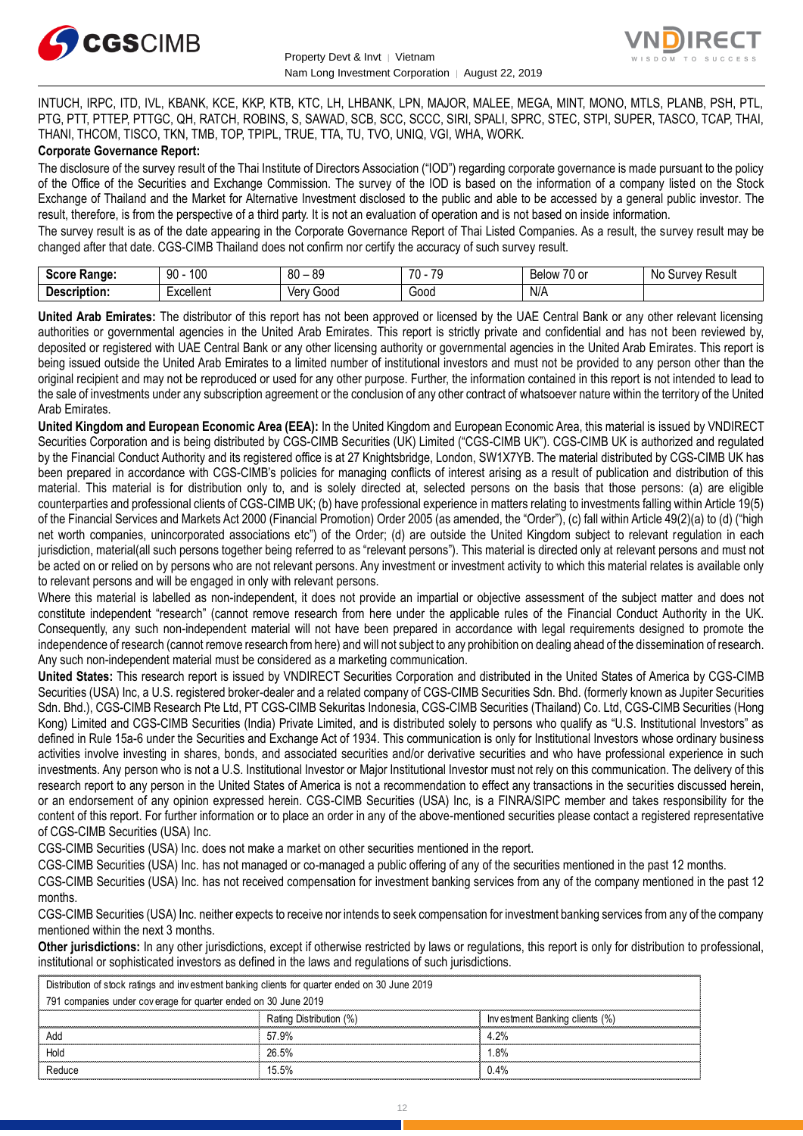



INTUCH, IRPC, ITD, IVL, KBANK, KCE, KKP, KTB, KTC, LH, LHBANK, LPN, MAJOR, MALEE, MEGA, MINT, MONO, MTLS, PLANB, PSH, PTL, PTG, PTT, PTTEP, PTTGC, QH, RATCH, ROBINS, S, SAWAD, SCB, SCC, SCCC, SIRI, SPALI, SPRC, STEC, STPI, SUPER, TASCO, TCAP, THAI, THANI, THCOM, TISCO, TKN, TMB, TOP, TPIPL, TRUE, TTA, TU, TVO, UNIQ, VGI, WHA, WORK.

#### **Corporate Governance Report:**

The disclosure of the survey result of the Thai Institute of Directors Association ("IOD") regarding corporate governance is made pursuant to the policy of the Office of the Securities and Exchange Commission. The survey of the IOD is based on the information of a company listed on the Stock Exchange of Thailand and the Market for Alternative Investment disclosed to the public and able to be accessed by a general public investor. The result, therefore, is from the perspective of a third party. It is not an evaluation of operation and is not based on inside information.

The survey result is as of the date appearing in the Corporate Governance Report of Thai Listed Companies. As a result, the survey result may be changed after that date. CGS-CIMB Thailand does not confirm nor certify the accuracy of such survey result.

| Saara.<br>Range:<br>ocort   | 100<br>۵O<br>JU              | 80<br>or<br>$\overline{\phantom{a}}$ | $\overline{\phantom{a}}$<br>$\overline{\phantom{a}}$<br>$\cdot$ | $\sim$ $\sim$<br>. U or<br><b>Below</b> | Result<br>$\sim$<br>N <sub>IC</sub><br>,,,<br>oи<br>,,,<br>າບ |
|-----------------------------|------------------------------|--------------------------------------|-----------------------------------------------------------------|-----------------------------------------|---------------------------------------------------------------|
| <b>Descript</b><br>ription: | .voollon<br>:xuellei II<br>. | Ver<br>000خ<br>rv<br>, vi            | Good                                                            | N/A                                     |                                                               |

**United Arab Emirates:** The distributor of this report has not been approved or licensed by the UAE Central Bank or any other relevant licensing authorities or governmental agencies in the United Arab Emirates. This report is strictly private and confidential and has not been reviewed by, deposited or registered with UAE Central Bank or any other licensing authority or governmental agencies in the United Arab Emirates. This report is being issued outside the United Arab Emirates to a limited number of institutional investors and must not be provided to any person other than the original recipient and may not be reproduced or used for any other purpose. Further, the information contained in this report is not intended to lead to the sale of investments under any subscription agreement or the conclusion of any other contract of whatsoever nature within the territory of the United Arab Emirates.

**United Kingdom and European Economic Area (EEA):** In the United Kingdom and European Economic Area, this material is issued by VNDIRECT Securities Corporation and is being distributed by CGS-CIMB Securities (UK) Limited ("CGS-CIMB UK"). CGS-CIMB UK is authorized and regulated by the Financial Conduct Authority and its registered office is at 27 Knightsbridge, London, SW1X7YB. The material distributed by CGS-CIMB UK has been prepared in accordance with CGS-CIMB's policies for managing conflicts of interest arising as a result of publication and distribution of this material. This material is for distribution only to, and is solely directed at, selected persons on the basis that those persons: (a) are eligible counterparties and professional clients of CGS-CIMB UK; (b) have professional experience in matters relating to investments falling within Article 19(5) of the Financial Services and Markets Act 2000 (Financial Promotion) Order 2005 (as amended, the "Order"), (c) fall within Article 49(2)(a) to (d) ("high net worth companies, unincorporated associations etc") of the Order; (d) are outside the United Kingdom subject to relevant regulation in each jurisdiction, material(all such persons together being referred to as "relevant persons"). This material is directed only at relevant persons and must not be acted on or relied on by persons who are not relevant persons. Any investment or investment activity to which this material relates is available only to relevant persons and will be engaged in only with relevant persons.

Where this material is labelled as non-independent, it does not provide an impartial or objective assessment of the subject matter and does not constitute independent "research" (cannot remove research from here under the applicable rules of the Financial Conduct Authority in the UK. Consequently, any such non-independent material will not have been prepared in accordance with legal requirements designed to promote the independence of research (cannot remove research from here) and will not subject to any prohibition on dealing ahead of the dissemination of research. Any such non-independent material must be considered as a marketing communication.

**United States:** This research report is issued by VNDIRECT Securities Corporation and distributed in the United States of America by CGS-CIMB Securities (USA) Inc, a U.S. registered broker-dealer and a related company of CGS-CIMB Securities Sdn. Bhd. (formerly known as Jupiter Securities Sdn. Bhd.), CGS-CIMB Research Pte Ltd, PT CGS-CIMB Sekuritas Indonesia, CGS-CIMB Securities (Thailand) Co. Ltd, CGS-CIMB Securities (Hong Kong) Limited and CGS-CIMB Securities (India) Private Limited, and is distributed solely to persons who qualify as "U.S. Institutional Investors" as defined in Rule 15a-6 under the Securities and Exchange Act of 1934. This communication is only for Institutional Investors whose ordinary business activities involve investing in shares, bonds, and associated securities and/or derivative securities and who have professional experience in such investments. Any person who is not a U.S. Institutional Investor or Major Institutional Investor must not rely on this communication. The delivery of this research report to any person in the United States of America is not a recommendation to effect any transactions in the securities discussed herein, or an endorsement of any opinion expressed herein. CGS-CIMB Securities (USA) Inc, is a FINRA/SIPC member and takes responsibility for the content of this report. For further information or to place an order in any of the above-mentioned securities please contact a registered representative of CGS-CIMB Securities (USA) Inc.

CGS-CIMB Securities (USA) Inc. does not make a market on other securities mentioned in the report.

CGS-CIMB Securities (USA) Inc. has not managed or co-managed a public offering of any of the securities mentioned in the past 12 months.

CGS-CIMB Securities (USA) Inc. has not received compensation for investment banking services from any of the company mentioned in the past 12 months.

CGS-CIMB Securities (USA) Inc. neither expects to receive nor intends to seek compensation for investment banking services from any of the company mentioned within the next 3 months.

**Other jurisdictions:** In any other jurisdictions, except if otherwise restricted by laws or regulations, this report is only for distribution to professional, institutional or sophisticated investors as defined in the laws and regulations of such jurisdictions. entioned within the next 3 months.<br> **ther jurisdictions:** In any other jurisdictions, except if otherwise restricted by lastitutional or sophisticated investors as defined in the laws and regulations of st<br>
Distribution of

| institutional or sophisticated investors as defined in the laws and regulations of such jurisdictions. |                                |  |  |  |
|--------------------------------------------------------------------------------------------------------|--------------------------------|--|--|--|
| Distribution of stock ratings and investment banking clients for quarter ended on 30 June 2019         |                                |  |  |  |
| 791 companies under coverage for quarter ended on 30 June 2019                                         |                                |  |  |  |
| Rating Distribution (%)                                                                                | Investment Banking clients (%) |  |  |  |
| 57.9%                                                                                                  | 4.2%                           |  |  |  |
| 26.5%                                                                                                  | .8%                            |  |  |  |
| 15.5%                                                                                                  | 0.4%                           |  |  |  |
|                                                                                                        |                                |  |  |  |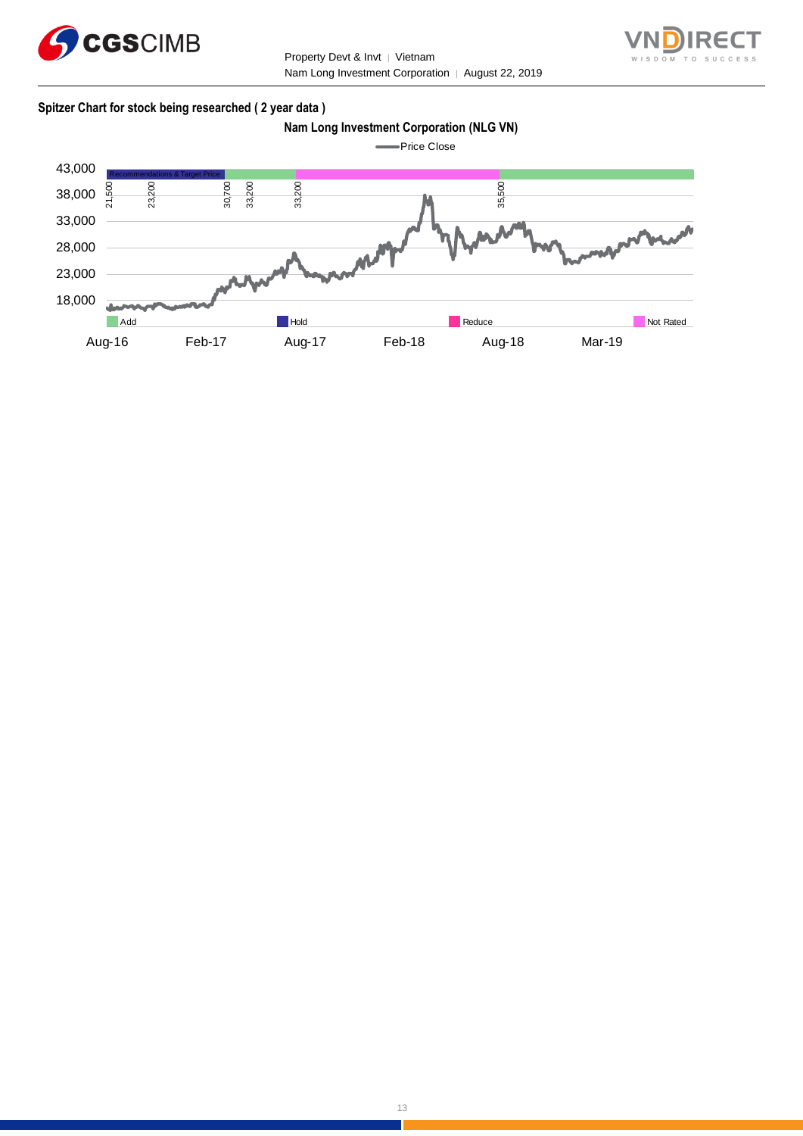



#### **Spitzer Chart for stock being researched ( 2 year data )**

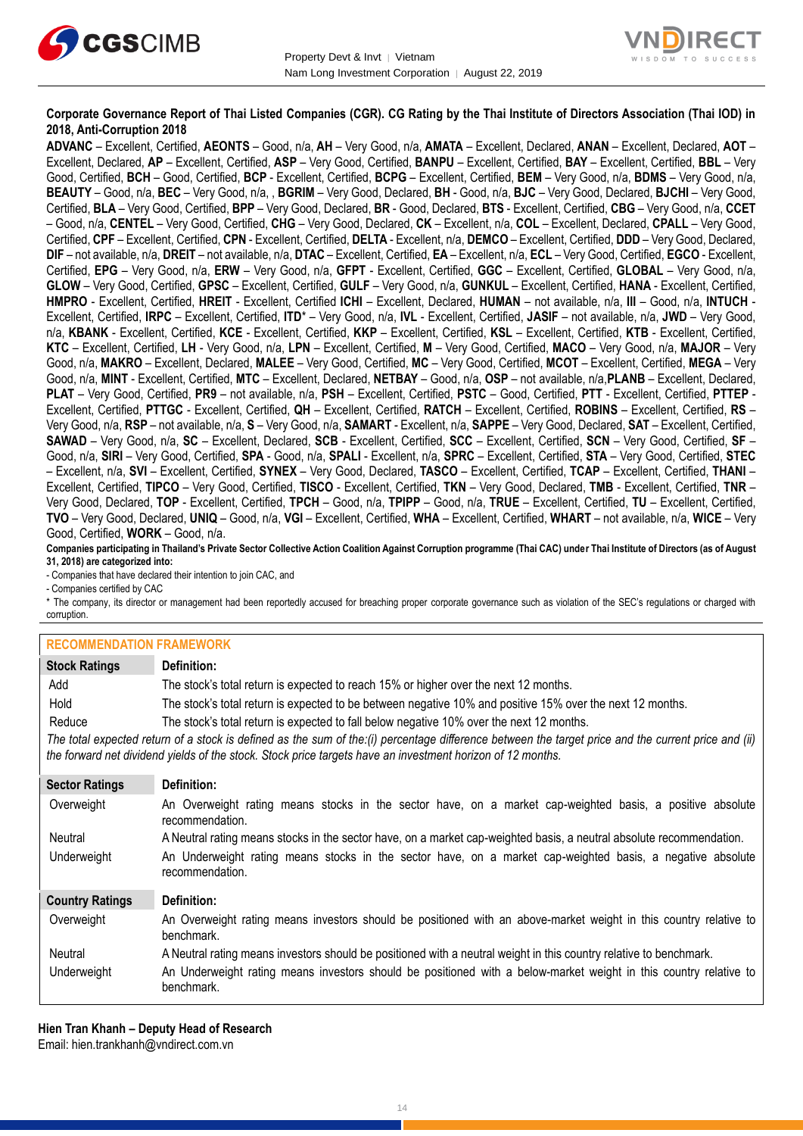



#### **Corporate Governance Report of Thai Listed Companies (CGR). CG Rating by the Thai Institute of Directors Association (Thai IOD) in 2018, Anti-Corruption 2018**

**ADVANC** – Excellent, Certified, **AEONTS** – Good, n/a, **AH** – Very Good, n/a, **AMATA** – Excellent, Declared, **ANAN** – Excellent, Declared, **AOT** – Excellent, Declared, **AP** – Excellent, Certified, **ASP** – Very Good, Certified, **BANPU** – Excellent, Certified, **BAY** – Excellent, Certified, **BBL** – Very Good, Certified, **BCH** – Good, Certified, **BCP** - Excellent, Certified, **BCPG** – Excellent, Certified, **BEM** – Very Good, n/a, **BDMS** – Very Good, n/a, **BEAUTY** – Good, n/a, **BEC** – Very Good, n/a, , **BGRIM** – Very Good, Declared, **BH** - Good, n/a, **BJC** – Very Good, Declared, **BJCHI** – Very Good, Certified, **BLA** – Very Good, Certified, **BPP** – Very Good, Declared, **BR** - Good, Declared, **BTS** - Excellent, Certified, **CBG** – Very Good, n/a, **CCET** – Good, n/a, **CENTEL** – Very Good, Certified, **CHG** – Very Good, Declared, **CK** – Excellent, n/a, **COL** – Excellent, Declared, **CPALL** – Very Good, Certified, **CPF** – Excellent, Certified, **CPN** - Excellent, Certified, **DELTA** - Excellent, n/a, **DEMCO** – Excellent, Certified, **DDD** – Very Good, Declared, **DIF** – not available, n/a, **DREIT** – not available, n/a, **DTAC** – Excellent, Certified, **EA** – Excellent, n/a, **ECL** – Very Good, Certified, **EGCO** - Excellent, Certified, **EPG** – Very Good, n/a, **ERW** – Very Good, n/a, **GFPT** - Excellent, Certified, **GGC** – Excellent, Certified, **GLOBAL** – Very Good, n/a, **GLOW** – Very Good, Certified, **GPSC** – Excellent, Certified, **GULF** – Very Good, n/a, **GUNKUL** – Excellent, Certified, **HANA** - Excellent, Certified, **HMPRO** - Excellent, Certified, **HREIT** - Excellent, Certified **ICHI** – Excellent, Declared, **HUMAN** – not available, n/a, **III** – Good, n/a, **INTUCH** - Excellent, Certified, **IRPC** – Excellent, Certified, **ITD**\* – Very Good, n/a, **IVL** - Excellent, Certified, **JASIF** – not available, n/a, **JWD** – Very Good, n/a, **KBANK** - Excellent, Certified, **KCE** - Excellent, Certified, **KKP** – Excellent, Certified, **KSL** – Excellent, Certified, **KTB** - Excellent, Certified, **KTC** – Excellent, Certified, **LH** - Very Good, n/a, **LPN** – Excellent, Certified, **M** – Very Good, Certified, **MACO** – Very Good, n/a, **MAJOR** – Very Good, n/a, **MAKRO** – Excellent, Declared, **MALEE** – Very Good, Certified, **MC** – Very Good, Certified, **MCOT** – Excellent, Certified, **MEGA** – Very Good, n/a, **MINT** - Excellent, Certified, **MTC** – Excellent, Declared, **NETBAY** – Good, n/a, **OSP** – not available, n/a,**PLANB** – Excellent, Declared, **PLAT** – Very Good, Certified, **PR9** – not available, n/a, **PSH** – Excellent, Certified, **PSTC** – Good, Certified, **PTT** - Excellent, Certified, **PTTEP** - Excellent, Certified, **PTTGC** - Excellent, Certified, **QH** – Excellent, Certified, **RATCH** – Excellent, Certified, **ROBINS** – Excellent, Certified, **RS** – Very Good, n/a, **RSP** – not available, n/a, **S** – Very Good, n/a, **SAMART** - Excellent, n/a, **SAPPE** – Very Good, Declared, **SAT** – Excellent, Certified, **SAWAD** – Very Good, n/a, **SC** – Excellent, Declared, **SCB** - Excellent, Certified, **SCC** – Excellent, Certified, **SCN** – Very Good, Certified, **SF** – Good, n/a, **SIRI** – Very Good, Certified, **SPA** - Good, n/a, **SPALI** - Excellent, n/a, **SPRC** – Excellent, Certified, **STA** – Very Good, Certified, **STEC** – Excellent, n/a, **SVI** – Excellent, Certified, **SYNEX** – Very Good, Declared, **TASCO** – Excellent, Certified, **TCAP** – Excellent, Certified, **THANI** – Excellent, Certified, **TIPCO** – Very Good, Certified, **TISCO** - Excellent, Certified, **TKN** – Very Good, Declared, **TMB** - Excellent, Certified, **TNR** – Very Good, Declared, **TOP** - Excellent, Certified, **TPCH** – Good, n/a, **TPIPP** – Good, n/a, **TRUE** – Excellent, Certified, **TU** – Excellent, Certified, **TVO** – Very Good, Declared, **UNIQ** – Good, n/a, **VGI** – Excellent, Certified, **WHA** – Excellent, Certified, **WHART** – not available, n/a, **WICE** – Very Good, Certified, **WORK** – Good, n/a.

**Companies participating in Thailand's Private Sector Collective Action Coalition Against Corruption programme (Thai CAC) under Thai Institute of Directors (as of August 31, 2018) are categorized into:**

- Companies that have declared their intention to join CAC, and

- Companies certified by CAC

\* The company, its director or management had been reportedly accused for breaching proper corporate governance such as violation of the SEC's regulations or charged with corruption.

#### **RECOMMENDATION FRAMEWORK**

| INLUUININLINDAITUIN LINAINLINUINN |                                                                                                                                                                                                                                                                   |
|-----------------------------------|-------------------------------------------------------------------------------------------------------------------------------------------------------------------------------------------------------------------------------------------------------------------|
| <b>Stock Ratings</b>              | Definition:                                                                                                                                                                                                                                                       |
| Add                               | The stock's total return is expected to reach 15% or higher over the next 12 months.                                                                                                                                                                              |
| Hold                              | The stock's total return is expected to be between negative 10% and positive 15% over the next 12 months.                                                                                                                                                         |
| Reduce                            | The stock's total return is expected to fall below negative 10% over the next 12 months.                                                                                                                                                                          |
|                                   | The total expected return of a stock is defined as the sum of the:(i) percentage difference between the target price and the current price and (ii)<br>the forward net dividend yields of the stock. Stock price targets have an investment horizon of 12 months. |
| <b>Sector Ratings</b>             | Definition:                                                                                                                                                                                                                                                       |
| Overweight                        | An Overweight rating means stocks in the sector have, on a market cap-weighted basis, a positive absolute<br>recommendation.                                                                                                                                      |
| Neutral                           | A Neutral rating means stocks in the sector have, on a market cap-weighted basis, a neutral absolute recommendation.                                                                                                                                              |
| Underweight                       | An Underweight rating means stocks in the sector have, on a market cap-weighted basis, a negative absolute<br>recommendation.                                                                                                                                     |
| <b>Country Ratings</b>            | Definition:                                                                                                                                                                                                                                                       |
| Overweight                        | An Overweight rating means investors should be positioned with an above-market weight in this country relative to<br>benchmark.                                                                                                                                   |
| Neutral                           | A Neutral rating means investors should be positioned with a neutral weight in this country relative to benchmark.                                                                                                                                                |
| Underweight                       | An Underweight rating means investors should be positioned with a below-market weight in this country relative to<br>benchmark.                                                                                                                                   |

**Hien Tran Khanh – Deputy Head of Research** Email: [hien.trankhanh@vndirect.com.vn](mailto:hien.trankhanh@vndirect.com.vn)